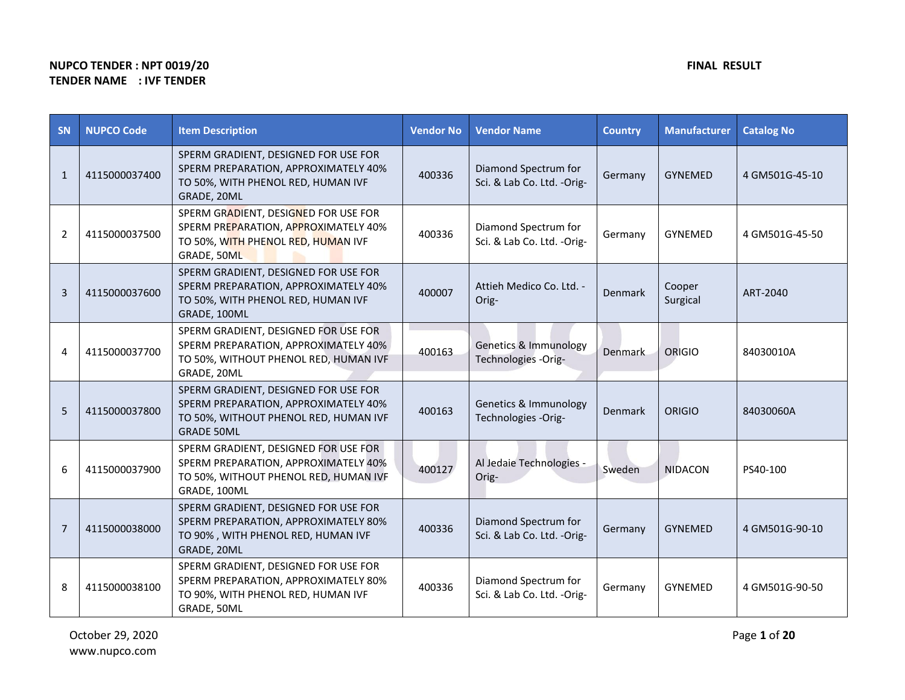## **NUPCO TENDER : NPT 0019/20 FINAL RESULT TENDER NAME : IVF TENDER**

| <b>SN</b>    | <b>NUPCO Code</b> | <b>Item Description</b>                                                                                                                    | <b>Vendor No</b> | <b>Vendor Name</b>                                      | <b>Country</b> | <b>Manufacturer</b> | <b>Catalog No</b> |
|--------------|-------------------|--------------------------------------------------------------------------------------------------------------------------------------------|------------------|---------------------------------------------------------|----------------|---------------------|-------------------|
| $\mathbf{1}$ | 4115000037400     | SPERM GRADIENT, DESIGNED FOR USE FOR<br>SPERM PREPARATION, APPROXIMATELY 40%<br>TO 50%, WITH PHENOL RED, HUMAN IVF<br>GRADE, 20ML          | 400336           | Diamond Spectrum for<br>Sci. & Lab Co. Ltd. -Orig-      | Germany        | <b>GYNEMED</b>      | 4 GM501G-45-10    |
| 2            | 4115000037500     | SPERM GRADIENT, DESIGNED FOR USE FOR<br>SPERM PREPARATION, APPROXIMATELY 40%<br>TO 50%, WITH PHENOL RED, HUMAN IVF<br>GRADE, 50ML          | 400336           | Diamond Spectrum for<br>Sci. & Lab Co. Ltd. -Orig-      | Germany        | <b>GYNEMED</b>      | 4 GM501G-45-50    |
| 3            | 4115000037600     | SPERM GRADIENT, DESIGNED FOR USE FOR<br>SPERM PREPARATION, APPROXIMATELY 40%<br>TO 50%, WITH PHENOL RED, HUMAN IVF<br>GRADE, 100ML         | 400007           | Attieh Medico Co. Ltd. -<br>Orig-                       | Denmark        | Cooper<br>Surgical  | ART-2040          |
| 4            | 4115000037700     | SPERM GRADIENT, DESIGNED FOR USE FOR<br>SPERM PREPARATION, APPROXIMATELY 40%<br>TO 50%, WITHOUT PHENOL RED, HUMAN IVF<br>GRADE, 20ML       | 400163           | <b>Genetics &amp; Immunology</b><br>Technologies -Orig- | <b>Denmark</b> | <b>ORIGIO</b>       | 84030010A         |
| 5            | 4115000037800     | SPERM GRADIENT, DESIGNED FOR USE FOR<br>SPERM PREPARATION, APPROXIMATELY 40%<br>TO 50%, WITHOUT PHENOL RED, HUMAN IVF<br><b>GRADE 50ML</b> | 400163           | Genetics & Immunology<br>Technologies -Orig-            | Denmark        | ORIGIO              | 84030060A         |
| 6            | 4115000037900     | SPERM GRADIENT, DESIGNED FOR USE FOR<br>SPERM PREPARATION, APPROXIMATELY 40%<br>TO 50%, WITHOUT PHENOL RED, HUMAN IVF<br>GRADE, 100ML      | 400127           | Al Jedaie Technologies -<br>Orig-                       | Sweden         | <b>NIDACON</b>      | PS40-100          |
| 7            | 4115000038000     | SPERM GRADIENT, DESIGNED FOR USE FOR<br>SPERM PREPARATION, APPROXIMATELY 80%<br>TO 90%, WITH PHENOL RED, HUMAN IVF<br>GRADE, 20ML          | 400336           | Diamond Spectrum for<br>Sci. & Lab Co. Ltd. -Orig-      | Germany        | <b>GYNEMED</b>      | 4 GM501G-90-10    |
| 8            | 4115000038100     | SPERM GRADIENT, DESIGNED FOR USE FOR<br>SPERM PREPARATION, APPROXIMATELY 80%<br>TO 90%, WITH PHENOL RED, HUMAN IVF<br>GRADE, 50ML          | 400336           | Diamond Spectrum for<br>Sci. & Lab Co. Ltd. -Orig-      | Germany        | <b>GYNEMED</b>      | 4 GM501G-90-50    |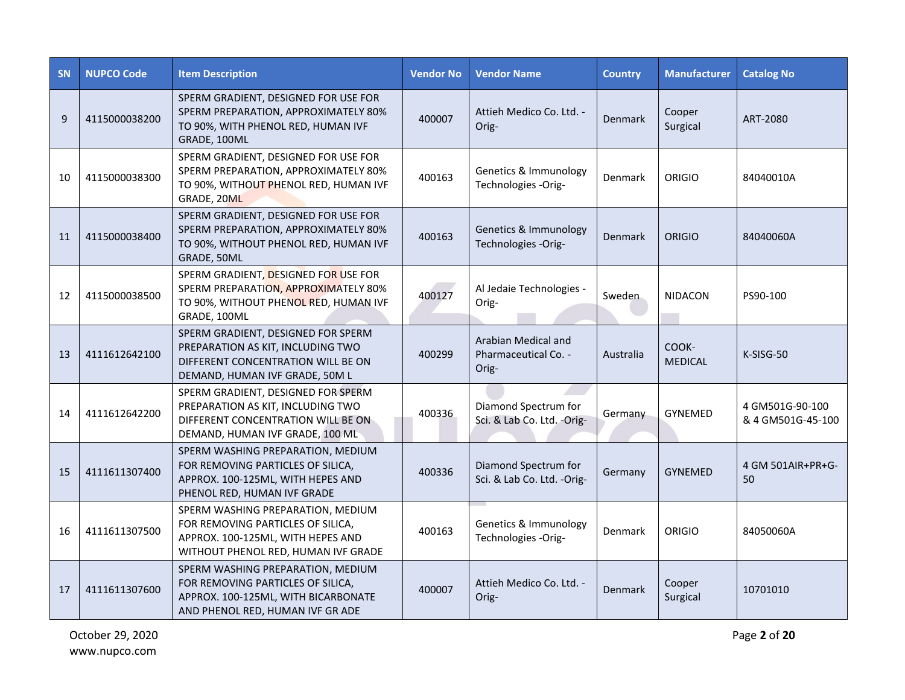| <b>SN</b> | <b>NUPCO Code</b> | <b>Item Description</b>                                                                                                                            | <b>Vendor No</b> | <b>Vendor Name</b>                                   | <b>Country</b> | <b>Manufacturer</b>     | <b>Catalog No</b>                    |
|-----------|-------------------|----------------------------------------------------------------------------------------------------------------------------------------------------|------------------|------------------------------------------------------|----------------|-------------------------|--------------------------------------|
| 9         | 4115000038200     | SPERM GRADIENT, DESIGNED FOR USE FOR<br>SPERM PREPARATION, APPROXIMATELY 80%<br>TO 90%, WITH PHENOL RED, HUMAN IVF<br>GRADE, 100ML                 | 400007           | Attieh Medico Co. Ltd. -<br>Orig-                    | Denmark        | Cooper<br>Surgical      | ART-2080                             |
| 10        | 4115000038300     | SPERM GRADIENT, DESIGNED FOR USE FOR<br>SPERM PREPARATION, APPROXIMATELY 80%<br>TO 90%, WITHOUT PHENOL RED, HUMAN IVF<br>GRADE, 20ML               | 400163           | Genetics & Immunology<br>Technologies -Orig-         | Denmark        | ORIGIO                  | 84040010A                            |
| 11        | 4115000038400     | SPERM GRADIENT, DESIGNED FOR USE FOR<br>SPERM PREPARATION, APPROXIMATELY 80%<br>TO 90%, WITHOUT PHENOL RED, HUMAN IVF<br>GRADE, 50ML               | 400163           | Genetics & Immunology<br>Technologies -Orig-         | Denmark        | ORIGIO                  | 84040060A                            |
| 12        | 4115000038500     | SPERM GRADIENT, DESIGNED FOR USE FOR<br>SPERM PREPARATION, APPROXIMATELY 80%<br>TO 90%, WITHOUT PHENOL RED, HUMAN IVF<br>GRADE, 100ML              | 400127           | Al Jedaie Technologies -<br>Orig-                    | Sweden         | <b>NIDACON</b>          | PS90-100                             |
| 13        | 4111612642100     | SPERM GRADIENT, DESIGNED FOR SPERM<br>PREPARATION AS KIT, INCLUDING TWO<br>DIFFERENT CONCENTRATION WILL BE ON<br>DEMAND, HUMAN IVF GRADE, 50M L    | 400299           | Arabian Medical and<br>Pharmaceutical Co. -<br>Orig- | Australia      | COOK-<br><b>MEDICAL</b> | K-SISG-50                            |
| 14        | 4111612642200     | SPERM GRADIENT, DESIGNED FOR SPERM<br>PREPARATION AS KIT, INCLUDING TWO<br>DIFFERENT CONCENTRATION WILL BE ON<br>DEMAND, HUMAN IVF GRADE, 100 ML   | 400336           | Diamond Spectrum for<br>Sci. & Lab Co. Ltd. -Orig-   | Germany        | <b>GYNEMED</b>          | 4 GM501G-90-100<br>& 4 GM501G-45-100 |
| 15        | 4111611307400     | SPERM WASHING PREPARATION, MEDIUM<br>FOR REMOVING PARTICLES OF SILICA,<br>APPROX. 100-125ML, WITH HEPES AND<br>PHENOL RED, HUMAN IVF GRADE         | 400336           | Diamond Spectrum for<br>Sci. & Lab Co. Ltd. -Orig-   | Germany        | <b>GYNEMED</b>          | 4 GM 501AIR+PR+G-<br>50              |
| 16        | 4111611307500     | SPERM WASHING PREPARATION, MEDIUM<br>FOR REMOVING PARTICLES OF SILICA,<br>APPROX. 100-125ML, WITH HEPES AND<br>WITHOUT PHENOL RED, HUMAN IVF GRADE | 400163           | Genetics & Immunology<br>Technologies -Orig-         | Denmark        | <b>ORIGIO</b>           | 84050060A                            |
| 17        | 4111611307600     | SPERM WASHING PREPARATION, MEDIUM<br>FOR REMOVING PARTICLES OF SILICA,<br>APPROX. 100-125ML, WITH BICARBONATE<br>AND PHENOL RED, HUMAN IVF GR ADE  | 400007           | Attieh Medico Co. Ltd. -<br>Orig-                    | Denmark        | Cooper<br>Surgical      | 10701010                             |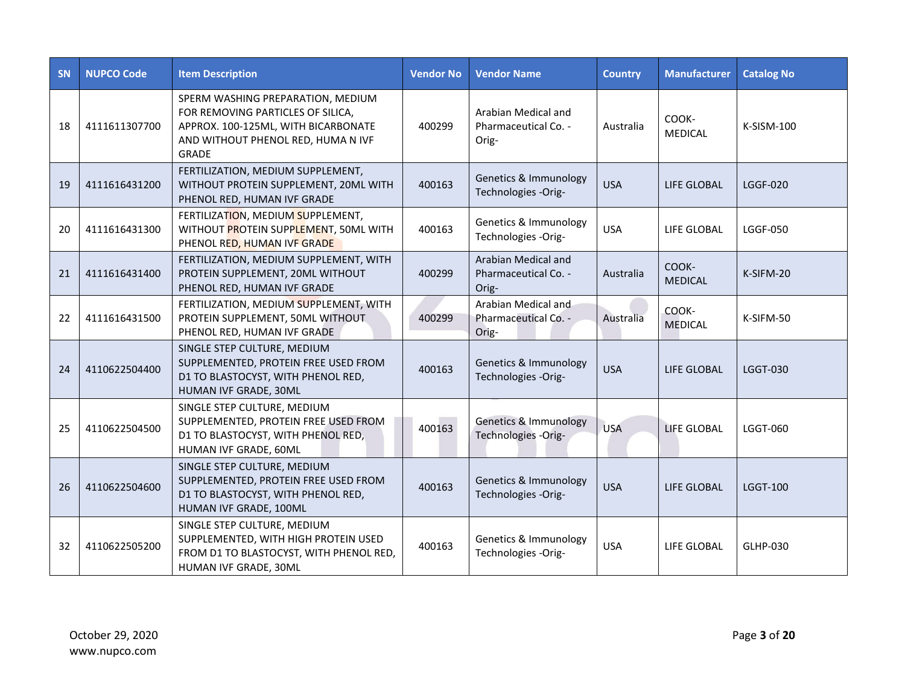| <b>SN</b> | <b>NUPCO Code</b> | <b>Item Description</b>                                                                                                                                             | <b>Vendor No</b> | <b>Vendor Name</b>                                   | <b>Country</b> | <b>Manufacturer</b>     | <b>Catalog No</b> |
|-----------|-------------------|---------------------------------------------------------------------------------------------------------------------------------------------------------------------|------------------|------------------------------------------------------|----------------|-------------------------|-------------------|
| 18        | 4111611307700     | SPERM WASHING PREPARATION, MEDIUM<br>FOR REMOVING PARTICLES OF SILICA,<br>APPROX. 100-125ML, WITH BICARBONATE<br>AND WITHOUT PHENOL RED, HUMA N IVF<br><b>GRADE</b> | 400299           | Arabian Medical and<br>Pharmaceutical Co. -<br>Orig- | Australia      | COOK-<br><b>MEDICAL</b> | K-SISM-100        |
| 19        | 4111616431200     | FERTILIZATION, MEDIUM SUPPLEMENT,<br>WITHOUT PROTEIN SUPPLEMENT, 20ML WITH<br>PHENOL RED, HUMAN IVF GRADE                                                           | 400163           | Genetics & Immunology<br>Technologies -Orig-         | <b>USA</b>     | <b>LIFE GLOBAL</b>      | <b>LGGF-020</b>   |
| 20        | 4111616431300     | FERTILIZATION, MEDIUM SUPPLEMENT,<br>WITHOUT PROTEIN SUPPLEMENT, 50ML WITH<br>PHENOL RED, HUMAN IVF GRADE                                                           | 400163           | Genetics & Immunology<br>Technologies -Orig-         | <b>USA</b>     | LIFE GLOBAL             | <b>LGGF-050</b>   |
| 21        | 4111616431400     | FERTILIZATION, MEDIUM SUPPLEMENT, WITH<br>PROTEIN SUPPLEMENT, 20ML WITHOUT<br>PHENOL RED, HUMAN IVF GRADE                                                           | 400299           | Arabian Medical and<br>Pharmaceutical Co. -<br>Orig- | Australia      | COOK-<br><b>MEDICAL</b> | K-SIFM-20         |
| 22        | 4111616431500     | FERTILIZATION, MEDIUM SUPPLEMENT, WITH<br>PROTEIN SUPPLEMENT, 50ML WITHOUT<br>PHENOL RED, HUMAN IVF GRADE                                                           | 400299           | Arabian Medical and<br>Pharmaceutical Co. -<br>Orig- | Australia      | COOK-<br><b>MEDICAL</b> | K-SIFM-50         |
| 24        | 4110622504400     | SINGLE STEP CULTURE, MEDIUM<br>SUPPLEMENTED, PROTEIN FREE USED FROM<br>D1 TO BLASTOCYST, WITH PHENOL RED,<br>HUMAN IVF GRADE, 30ML                                  | 400163           | Genetics & Immunology<br>Technologies -Orig-         | <b>USA</b>     | <b>LIFE GLOBAL</b>      | <b>LGGT-030</b>   |
| 25        | 4110622504500     | SINGLE STEP CULTURE, MEDIUM<br>SUPPLEMENTED, PROTEIN FREE USED FROM<br>D1 TO BLASTOCYST, WITH PHENOL RED,<br>HUMAN IVF GRADE, 60ML                                  | 400163           | Genetics & Immunology<br>Technologies -Orig-         | <b>USA</b>     | <b>LIFE GLOBAL</b>      | <b>LGGT-060</b>   |
| 26        | 4110622504600     | SINGLE STEP CULTURE, MEDIUM<br>SUPPLEMENTED, PROTEIN FREE USED FROM<br>D1 TO BLASTOCYST, WITH PHENOL RED,<br>HUMAN IVF GRADE, 100ML                                 | 400163           | Genetics & Immunology<br>Technologies -Orig-         | <b>USA</b>     | <b>LIFE GLOBAL</b>      | <b>LGGT-100</b>   |
| 32        | 4110622505200     | SINGLE STEP CULTURE, MEDIUM<br>SUPPLEMENTED, WITH HIGH PROTEIN USED<br>FROM D1 TO BLASTOCYST, WITH PHENOL RED,<br>HUMAN IVF GRADE, 30ML                             | 400163           | Genetics & Immunology<br>Technologies -Orig-         | <b>USA</b>     | LIFE GLOBAL             | GLHP-030          |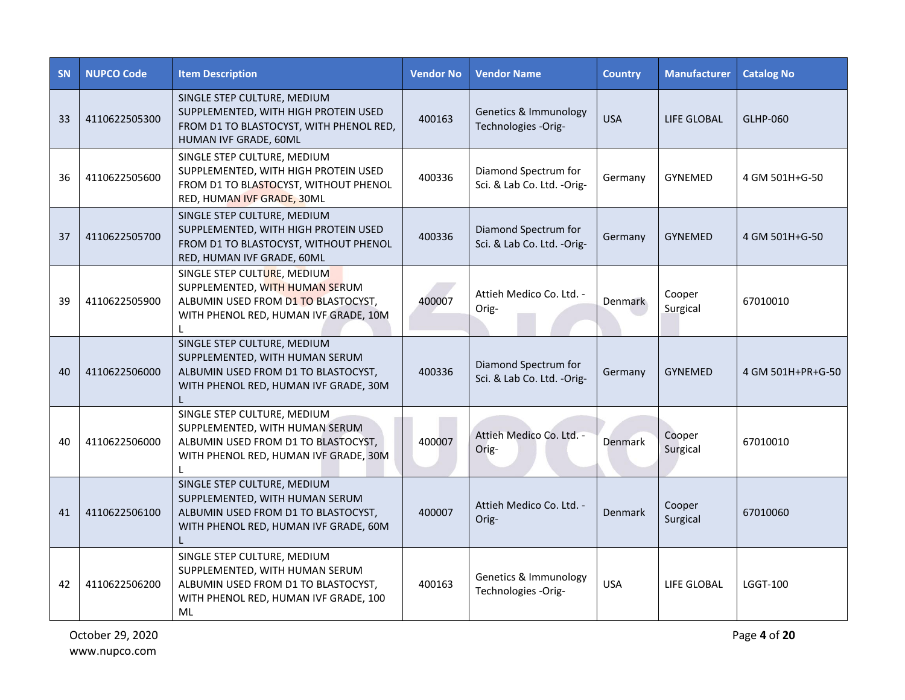| <b>SN</b> | <b>NUPCO Code</b> | <b>Item Description</b>                                                                                                                                       | <b>Vendor No</b> | <b>Vendor Name</b>                                 | <b>Country</b> | <b>Manufacturer</b> | <b>Catalog No</b> |
|-----------|-------------------|---------------------------------------------------------------------------------------------------------------------------------------------------------------|------------------|----------------------------------------------------|----------------|---------------------|-------------------|
| 33        | 4110622505300     | SINGLE STEP CULTURE, MEDIUM<br>SUPPLEMENTED, WITH HIGH PROTEIN USED<br>FROM D1 TO BLASTOCYST, WITH PHENOL RED,<br>HUMAN IVF GRADE, 60ML                       | 400163           | Genetics & Immunology<br>Technologies -Orig-       | <b>USA</b>     | <b>LIFE GLOBAL</b>  | GLHP-060          |
| 36        | 4110622505600     | SINGLE STEP CULTURE, MEDIUM<br>SUPPLEMENTED, WITH HIGH PROTEIN USED<br>FROM D1 TO BLASTOCYST, WITHOUT PHENOL<br>RED, HUMAN IVF GRADE, 30ML                    | 400336           | Diamond Spectrum for<br>Sci. & Lab Co. Ltd. -Orig- | Germany        | <b>GYNEMED</b>      | 4 GM 501H+G-50    |
| 37        | 4110622505700     | SINGLE STEP CULTURE, MEDIUM<br>SUPPLEMENTED, WITH HIGH PROTEIN USED<br>FROM D1 TO BLASTOCYST, WITHOUT PHENOL<br>RED, HUMAN IVF GRADE, 60ML                    | 400336           | Diamond Spectrum for<br>Sci. & Lab Co. Ltd. -Orig- | Germany        | <b>GYNEMED</b>      | 4 GM 501H+G-50    |
| 39        | 4110622505900     | SINGLE STEP CULTURE, MEDIUM<br>SUPPLEMENTED, WITH HUMAN SERUM<br>ALBUMIN USED FROM D1 TO BLASTOCYST,<br>WITH PHENOL RED, HUMAN IVF GRADE, 10M                 | 400007           | Attieh Medico Co. Ltd. -<br>Orig-                  | Denmark        | Cooper<br>Surgical  | 67010010          |
| 40        | 4110622506000     | SINGLE STEP CULTURE, MEDIUM<br>SUPPLEMENTED, WITH HUMAN SERUM<br>ALBUMIN USED FROM D1 TO BLASTOCYST,<br>WITH PHENOL RED, HUMAN IVF GRADE, 30M                 | 400336           | Diamond Spectrum for<br>Sci. & Lab Co. Ltd. -Orig- | Germany        | <b>GYNEMED</b>      | 4 GM 501H+PR+G-50 |
| 40        | 4110622506000     | SINGLE STEP CULTURE, MEDIUM<br>SUPPLEMENTED, WITH HUMAN SERUM<br>ALBUMIN USED FROM D1 TO BLASTOCYST,<br>WITH PHENOL RED, HUMAN IVF GRADE, 30M                 | 400007           | Attieh Medico Co. Ltd. -<br>Orig-                  | <b>Denmark</b> | Cooper<br>Surgical  | 67010010          |
| 41        | 4110622506100     | SINGLE STEP CULTURE, MEDIUM<br>SUPPLEMENTED, WITH HUMAN SERUM<br>ALBUMIN USED FROM D1 TO BLASTOCYST,<br>WITH PHENOL RED, HUMAN IVF GRADE, 60M<br>$\mathbf{I}$ | 400007           | Attieh Medico Co. Ltd. -<br>Orig-                  | Denmark        | Cooper<br>Surgical  | 67010060          |
| 42        | 4110622506200     | SINGLE STEP CULTURE, MEDIUM<br>SUPPLEMENTED, WITH HUMAN SERUM<br>ALBUMIN USED FROM D1 TO BLASTOCYST,<br>WITH PHENOL RED, HUMAN IVF GRADE, 100<br>ML           | 400163           | Genetics & Immunology<br>Technologies -Orig-       | <b>USA</b>     | LIFE GLOBAL         | <b>LGGT-100</b>   |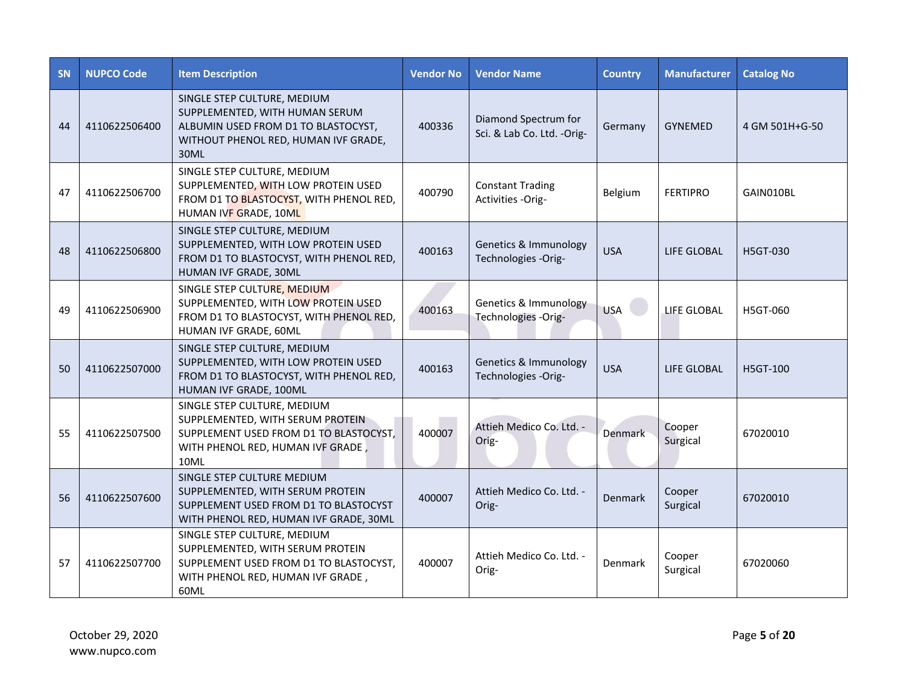| <b>SN</b> | <b>NUPCO Code</b> | <b>Item Description</b>                                                                                                                                | <b>Vendor No</b> | <b>Vendor Name</b>                                 | <b>Country</b> | <b>Manufacturer</b> | <b>Catalog No</b> |
|-----------|-------------------|--------------------------------------------------------------------------------------------------------------------------------------------------------|------------------|----------------------------------------------------|----------------|---------------------|-------------------|
| 44        | 4110622506400     | SINGLE STEP CULTURE, MEDIUM<br>SUPPLEMENTED, WITH HUMAN SERUM<br>ALBUMIN USED FROM D1 TO BLASTOCYST,<br>WITHOUT PHENOL RED, HUMAN IVF GRADE,<br>30ML   | 400336           | Diamond Spectrum for<br>Sci. & Lab Co. Ltd. -Orig- | Germany        | <b>GYNEMED</b>      | 4 GM 501H+G-50    |
| 47        | 4110622506700     | SINGLE STEP CULTURE, MEDIUM<br>SUPPLEMENTED, WITH LOW PROTEIN USED<br>FROM D1 TO BLASTOCYST, WITH PHENOL RED,<br>HUMAN IVF GRADE, 10ML                 | 400790           | <b>Constant Trading</b><br>Activities -Orig-       | Belgium        | <b>FERTIPRO</b>     | GAIN010BL         |
| 48        | 4110622506800     | SINGLE STEP CULTURE, MEDIUM<br>SUPPLEMENTED, WITH LOW PROTEIN USED<br>FROM D1 TO BLASTOCYST, WITH PHENOL RED,<br>HUMAN IVF GRADE, 30ML                 | 400163           | Genetics & Immunology<br>Technologies -Orig-       | <b>USA</b>     | LIFE GLOBAL         | H5GT-030          |
| 49        | 4110622506900     | SINGLE STEP CULTURE, MEDIUM<br>SUPPLEMENTED, WITH LOW PROTEIN USED<br>FROM D1 TO BLASTOCYST, WITH PHENOL RED,<br>HUMAN IVF GRADE, 60ML                 | 400163           | Genetics & Immunology<br>Technologies -Orig-       | <b>USA</b>     | LIFE GLOBAL         | H5GT-060          |
| 50        | 4110622507000     | SINGLE STEP CULTURE, MEDIUM<br>SUPPLEMENTED, WITH LOW PROTEIN USED<br>FROM D1 TO BLASTOCYST, WITH PHENOL RED,<br>HUMAN IVF GRADE, 100ML                | 400163           | Genetics & Immunology<br>Technologies -Orig-       | <b>USA</b>     | LIFE GLOBAL         | <b>H5GT-100</b>   |
| 55        | 4110622507500     | SINGLE STEP CULTURE, MEDIUM<br>SUPPLEMENTED, WITH SERUM PROTEIN<br>SUPPLEMENT USED FROM D1 TO BLASTOCYST,<br>WITH PHENOL RED, HUMAN IVF GRADE,<br>10ML | 400007           | Attieh Medico Co. Ltd. -<br>Orig-                  | <b>Denmark</b> | Cooper<br>Surgical  | 67020010          |
| 56        | 4110622507600     | SINGLE STEP CULTURE MEDIUM<br>SUPPLEMENTED, WITH SERUM PROTEIN<br>SUPPLEMENT USED FROM D1 TO BLASTOCYST<br>WITH PHENOL RED, HUMAN IVF GRADE, 30ML      | 400007           | Attieh Medico Co. Ltd. -<br>Orig-                  | Denmark        | Cooper<br>Surgical  | 67020010          |
| 57        | 4110622507700     | SINGLE STEP CULTURE, MEDIUM<br>SUPPLEMENTED, WITH SERUM PROTEIN<br>SUPPLEMENT USED FROM D1 TO BLASTOCYST,<br>WITH PHENOL RED, HUMAN IVF GRADE,<br>60ML | 400007           | Attieh Medico Co. Ltd. -<br>Orig-                  | Denmark        | Cooper<br>Surgical  | 67020060          |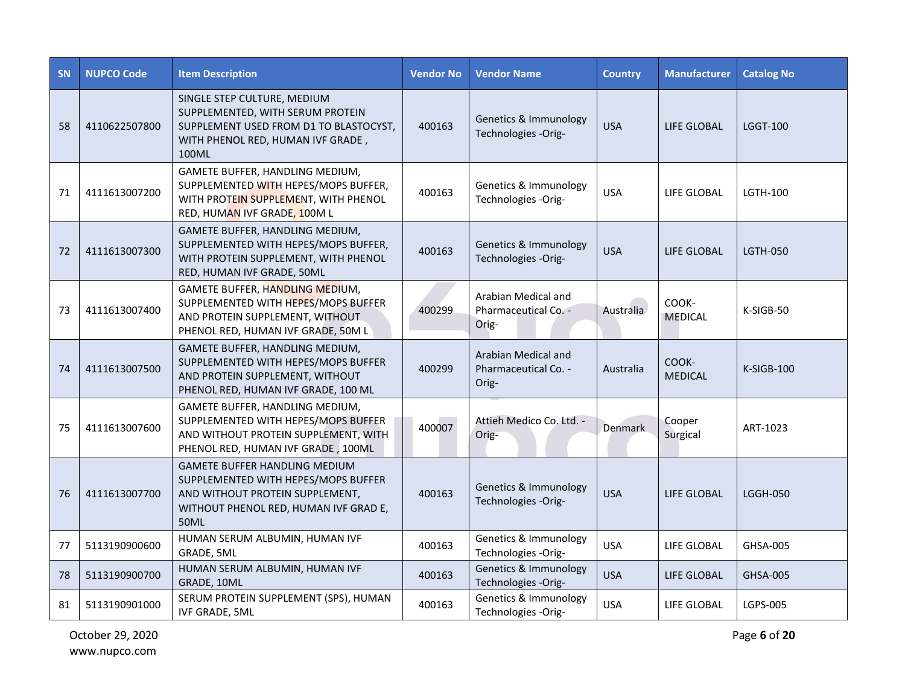| <b>SN</b> | <b>NUPCO Code</b> | <b>Item Description</b>                                                                                                                                                | <b>Vendor No</b> | <b>Vendor Name</b>                                   | <b>Country</b> | <b>Manufacturer</b>     | <b>Catalog No</b> |
|-----------|-------------------|------------------------------------------------------------------------------------------------------------------------------------------------------------------------|------------------|------------------------------------------------------|----------------|-------------------------|-------------------|
| 58        | 4110622507800     | SINGLE STEP CULTURE, MEDIUM<br>SUPPLEMENTED, WITH SERUM PROTEIN<br>SUPPLEMENT USED FROM D1 TO BLASTOCYST,<br>WITH PHENOL RED, HUMAN IVF GRADE,<br>100ML                | 400163           | Genetics & Immunology<br>Technologies -Orig-         | <b>USA</b>     | LIFE GLOBAL             | <b>LGGT-100</b>   |
| 71        | 4111613007200     | GAMETE BUFFER, HANDLING MEDIUM,<br>SUPPLEMENTED WITH HEPES/MOPS BUFFER,<br>WITH PROTEIN SUPPLEMENT, WITH PHENOL<br>RED, HUMAN IVF GRADE, 100ML                         | 400163           | Genetics & Immunology<br>Technologies -Orig-         | <b>USA</b>     | LIFE GLOBAL             | LGTH-100          |
| 72        | 4111613007300     | GAMETE BUFFER, HANDLING MEDIUM,<br>SUPPLEMENTED WITH HEPES/MOPS BUFFER,<br>WITH PROTEIN SUPPLEMENT, WITH PHENOL<br>RED, HUMAN IVF GRADE, 50ML                          | 400163           | Genetics & Immunology<br>Technologies -Orig-         | <b>USA</b>     | LIFE GLOBAL             | <b>LGTH-050</b>   |
| 73        | 4111613007400     | GAMETE BUFFER, HANDLING MEDIUM,<br>SUPPLEMENTED WITH HEPES/MOPS BUFFER<br>AND PROTEIN SUPPLEMENT, WITHOUT<br>PHENOL RED, HUMAN IVF GRADE, 50M L                        | 400299           | Arabian Medical and<br>Pharmaceutical Co. -<br>Orig- | Australia      | COOK-<br><b>MEDICAL</b> | $K-SIGB-50$       |
| 74        | 4111613007500     | GAMETE BUFFER, HANDLING MEDIUM,<br>SUPPLEMENTED WITH HEPES/MOPS BUFFER<br>AND PROTEIN SUPPLEMENT, WITHOUT<br>PHENOL RED, HUMAN IVF GRADE, 100 ML                       | 400299           | Arabian Medical and<br>Pharmaceutical Co. -<br>Orig- | Australia      | COOK-<br><b>MEDICAL</b> | K-SIGB-100        |
| 75        | 4111613007600     | GAMETE BUFFER, HANDLING MEDIUM,<br>SUPPLEMENTED WITH HEPES/MOPS BUFFER<br>AND WITHOUT PROTEIN SUPPLEMENT, WITH<br>PHENOL RED, HUMAN IVF GRADE, 100ML                   | 400007           | Attieh Medico Co. Ltd. -<br>Orig-                    | <b>Denmark</b> | Cooper<br>Surgical      | ART-1023          |
| 76        | 4111613007700     | <b>GAMETE BUFFER HANDLING MEDIUM</b><br>SUPPLEMENTED WITH HEPES/MOPS BUFFER<br>AND WITHOUT PROTEIN SUPPLEMENT,<br>WITHOUT PHENOL RED, HUMAN IVF GRAD E,<br><b>50ML</b> | 400163           | Genetics & Immunology<br>Technologies -Orig-         | <b>USA</b>     | LIFE GLOBAL             | <b>LGGH-050</b>   |
| 77        | 5113190900600     | HUMAN SERUM ALBUMIN, HUMAN IVF<br>GRADE, 5ML                                                                                                                           | 400163           | Genetics & Immunology<br>Technologies -Orig-         | <b>USA</b>     | LIFE GLOBAL             | GHSA-005          |
| 78        | 5113190900700     | HUMAN SERUM ALBUMIN, HUMAN IVF<br>GRADE, 10ML                                                                                                                          | 400163           | Genetics & Immunology<br>Technologies -Orig-         | <b>USA</b>     | LIFE GLOBAL             | <b>GHSA-005</b>   |
| 81        | 5113190901000     | SERUM PROTEIN SUPPLEMENT (SPS), HUMAN<br><b>IVF GRADE, 5ML</b>                                                                                                         | 400163           | Genetics & Immunology<br>Technologies -Orig-         | <b>USA</b>     | LIFE GLOBAL             | LGPS-005          |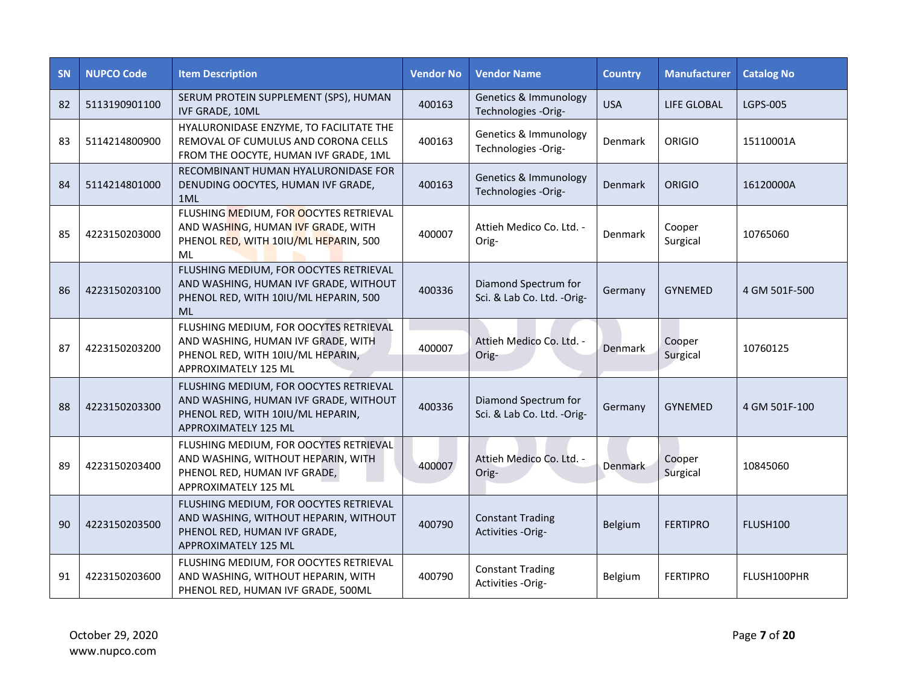| SN | <b>NUPCO Code</b> | <b>Item Description</b>                                                                                                                             | <b>Vendor No</b> | <b>Vendor Name</b>                                 | <b>Country</b> | <b>Manufacturer</b> | <b>Catalog No</b> |
|----|-------------------|-----------------------------------------------------------------------------------------------------------------------------------------------------|------------------|----------------------------------------------------|----------------|---------------------|-------------------|
| 82 | 5113190901100     | SERUM PROTEIN SUPPLEMENT (SPS), HUMAN<br><b>IVF GRADE, 10ML</b>                                                                                     | 400163           | Genetics & Immunology<br>Technologies - Orig-      | <b>USA</b>     | LIFE GLOBAL         | <b>LGPS-005</b>   |
| 83 | 5114214800900     | HYALURONIDASE ENZYME, TO FACILITATE THE<br>REMOVAL OF CUMULUS AND CORONA CELLS<br>FROM THE OOCYTE, HUMAN IVF GRADE, 1ML                             | 400163           | Genetics & Immunology<br>Technologies -Orig-       | Denmark        | <b>ORIGIO</b>       | 15110001A         |
| 84 | 5114214801000     | RECOMBINANT HUMAN HYALURONIDASE FOR<br>DENUDING OOCYTES, HUMAN IVF GRADE,<br>1ML                                                                    | 400163           | Genetics & Immunology<br>Technologies -Orig-       | Denmark        | <b>ORIGIO</b>       | 16120000A         |
| 85 | 4223150203000     | FLUSHING MEDIUM, FOR OOCYTES RETRIEVAL<br>AND WASHING, HUMAN IVF GRADE, WITH<br>PHENOL RED, WITH 10IU/ML HEPARIN, 500<br>ML                         | 400007           | Attieh Medico Co. Ltd. -<br>Orig-                  | Denmark        | Cooper<br>Surgical  | 10765060          |
| 86 | 4223150203100     | FLUSHING MEDIUM, FOR OOCYTES RETRIEVAL<br>AND WASHING, HUMAN IVF GRADE, WITHOUT<br>PHENOL RED, WITH 10IU/ML HEPARIN, 500<br><b>ML</b>               | 400336           | Diamond Spectrum for<br>Sci. & Lab Co. Ltd. -Orig- | Germany        | <b>GYNEMED</b>      | 4 GM 501F-500     |
| 87 | 4223150203200     | FLUSHING MEDIUM, FOR OOCYTES RETRIEVAL<br>AND WASHING, HUMAN IVF GRADE, WITH<br>PHENOL RED, WITH 10IU/ML HEPARIN,<br>APPROXIMATELY 125 ML           | 400007           | Attieh Medico Co. Ltd. -<br>Orig-                  | Denmark        | Cooper<br>Surgical  | 10760125          |
| 88 | 4223150203300     | FLUSHING MEDIUM, FOR OOCYTES RETRIEVAL<br>AND WASHING, HUMAN IVF GRADE, WITHOUT<br>PHENOL RED, WITH 10IU/ML HEPARIN,<br><b>APPROXIMATELY 125 ML</b> | 400336           | Diamond Spectrum for<br>Sci. & Lab Co. Ltd. -Orig- | Germany        | GYNEMED             | 4 GM 501F-100     |
| 89 | 4223150203400     | FLUSHING MEDIUM, FOR OOCYTES RETRIEVAL<br>AND WASHING, WITHOUT HEPARIN, WITH<br>PHENOL RED, HUMAN IVF GRADE,<br>APPROXIMATELY 125 ML                | 400007           | Attieh Medico Co. Ltd. -<br>Orig-                  | Denmark        | Cooper<br>Surgical  | 10845060          |
| 90 | 4223150203500     | FLUSHING MEDIUM, FOR OOCYTES RETRIEVAL<br>AND WASHING, WITHOUT HEPARIN, WITHOUT<br>PHENOL RED, HUMAN IVF GRADE,<br><b>APPROXIMATELY 125 ML</b>      | 400790           | <b>Constant Trading</b><br>Activities -Orig-       | Belgium        | <b>FERTIPRO</b>     | FLUSH100          |
| 91 | 4223150203600     | FLUSHING MEDIUM, FOR OOCYTES RETRIEVAL<br>AND WASHING, WITHOUT HEPARIN, WITH<br>PHENOL RED, HUMAN IVF GRADE, 500ML                                  | 400790           | <b>Constant Trading</b><br>Activities -Orig-       | Belgium        | <b>FERTIPRO</b>     | FLUSH100PHR       |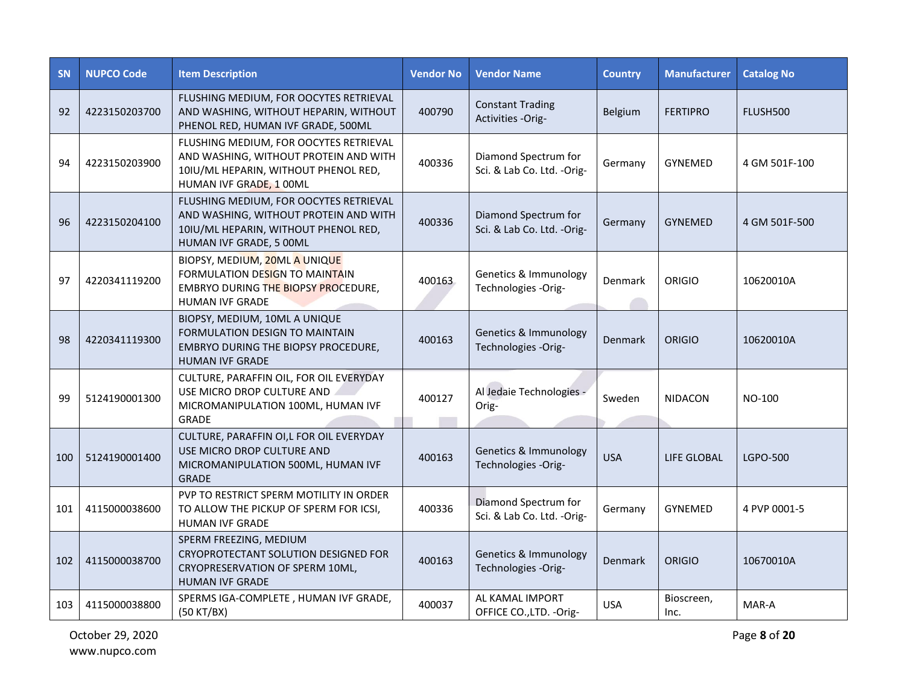| <b>SN</b> | <b>NUPCO Code</b> | <b>Item Description</b>                                                                                                                            | <b>Vendor No</b> | <b>Vendor Name</b>                                 | <b>Country</b> | <b>Manufacturer</b> | <b>Catalog No</b> |
|-----------|-------------------|----------------------------------------------------------------------------------------------------------------------------------------------------|------------------|----------------------------------------------------|----------------|---------------------|-------------------|
| 92        | 4223150203700     | FLUSHING MEDIUM, FOR OOCYTES RETRIEVAL<br>AND WASHING, WITHOUT HEPARIN, WITHOUT<br>PHENOL RED, HUMAN IVF GRADE, 500ML                              | 400790           | <b>Constant Trading</b><br>Activities -Orig-       | <b>Belgium</b> | <b>FERTIPRO</b>     | FLUSH500          |
| 94        | 4223150203900     | FLUSHING MEDIUM, FOR OOCYTES RETRIEVAL<br>AND WASHING, WITHOUT PROTEIN AND WITH<br>10IU/ML HEPARIN, WITHOUT PHENOL RED,<br>HUMAN IVF GRADE, 1 00ML | 400336           | Diamond Spectrum for<br>Sci. & Lab Co. Ltd. -Orig- | Germany        | <b>GYNEMED</b>      | 4 GM 501F-100     |
| 96        | 4223150204100     | FLUSHING MEDIUM, FOR OOCYTES RETRIEVAL<br>AND WASHING, WITHOUT PROTEIN AND WITH<br>10IU/ML HEPARIN, WITHOUT PHENOL RED,<br>HUMAN IVF GRADE, 5 00ML | 400336           | Diamond Spectrum for<br>Sci. & Lab Co. Ltd. -Orig- | Germany        | <b>GYNEMED</b>      | 4 GM 501F-500     |
| 97        | 4220341119200     | BIOPSY, MEDIUM, 20ML A UNIQUE<br>FORMULATION DESIGN TO MAINTAIN<br><b>EMBRYO DURING THE BIOPSY PROCEDURE,</b><br><b>HUMAN IVF GRADE</b>            | 400163           | Genetics & Immunology<br>Technologies -Orig-       | Denmark        | <b>ORIGIO</b>       | 10620010A         |
| 98        | 4220341119300     | BIOPSY, MEDIUM, 10ML A UNIQUE<br>FORMULATION DESIGN TO MAINTAIN<br>EMBRYO DURING THE BIOPSY PROCEDURE,<br><b>HUMAN IVF GRADE</b>                   | 400163           | Genetics & Immunology<br>Technologies -Orig-       | Denmark        | ORIGIO              | 10620010A         |
| 99        | 5124190001300     | CULTURE, PARAFFIN OIL, FOR OIL EVERYDAY<br>USE MICRO DROP CULTURE AND<br>MICROMANIPULATION 100ML, HUMAN IVF<br>GRADE                               | 400127           | Al Jedaie Technologies -<br>Orig-                  | Sweden         | <b>NIDACON</b>      | NO-100            |
| 100       | 5124190001400     | CULTURE, PARAFFIN OI,L FOR OIL EVERYDAY<br>USE MICRO DROP CULTURE AND<br>MICROMANIPULATION 500ML, HUMAN IVF<br><b>GRADE</b>                        | 400163           | Genetics & Immunology<br>Technologies -Orig-       | <b>USA</b>     | LIFE GLOBAL         | LGPO-500          |
| 101       | 4115000038600     | PVP TO RESTRICT SPERM MOTILITY IN ORDER<br>TO ALLOW THE PICKUP OF SPERM FOR ICSI,<br><b>HUMAN IVF GRADE</b>                                        | 400336           | Diamond Spectrum for<br>Sci. & Lab Co. Ltd. -Orig- | Germany        | <b>GYNEMED</b>      | 4 PVP 0001-5      |
| 102       | 4115000038700     | SPERM FREEZING, MEDIUM<br>CRYOPROTECTANT SOLUTION DESIGNED FOR<br>CRYOPRESERVATION OF SPERM 10ML,<br><b>HUMAN IVF GRADE</b>                        | 400163           | Genetics & Immunology<br>Technologies -Orig-       | Denmark        | <b>ORIGIO</b>       | 10670010A         |
| 103       | 4115000038800     | SPERMS IGA-COMPLETE, HUMAN IVF GRADE,<br>(50 KT/BX)                                                                                                | 400037           | AL KAMAL IMPORT<br>OFFICE CO., LTD. - Orig-        | <b>USA</b>     | Bioscreen,<br>Inc.  | MAR-A             |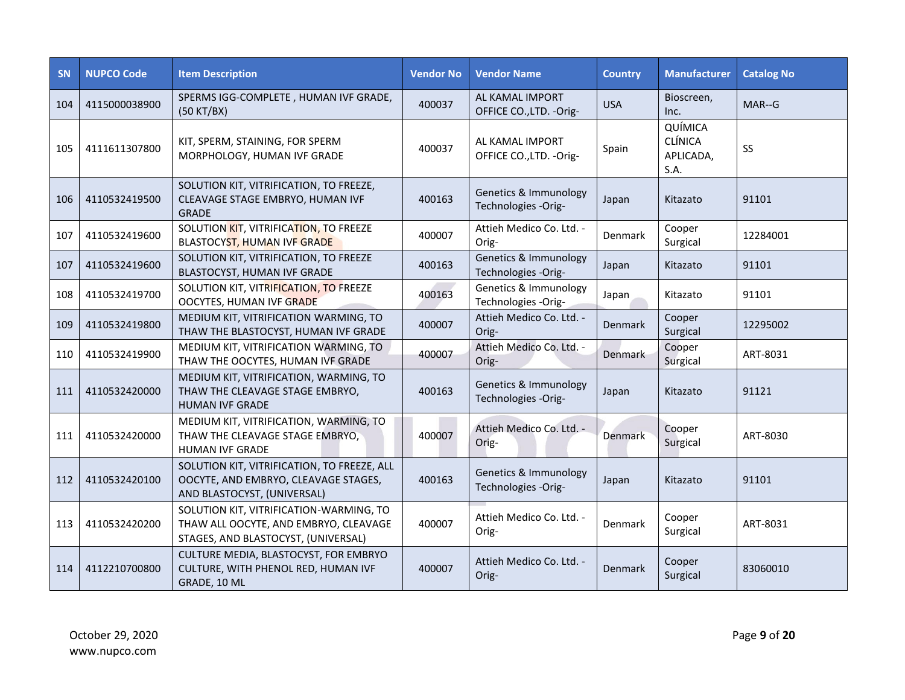| <b>SN</b> | <b>NUPCO Code</b> | <b>Item Description</b>                                                                                                 | <b>Vendor No</b> | <b>Vendor Name</b>                                      | <b>Country</b> | <b>Manufacturer</b>                            | <b>Catalog No</b> |
|-----------|-------------------|-------------------------------------------------------------------------------------------------------------------------|------------------|---------------------------------------------------------|----------------|------------------------------------------------|-------------------|
| 104       | 4115000038900     | SPERMS IGG-COMPLETE, HUMAN IVF GRADE,<br>(50 KT/BX)                                                                     | 400037           | AL KAMAL IMPORT<br>OFFICE CO., LTD. - Orig-             | <b>USA</b>     | Bioscreen,<br>Inc.                             | MAR--G            |
| 105       | 4111611307800     | KIT, SPERM, STAINING, FOR SPERM<br>MORPHOLOGY, HUMAN IVF GRADE                                                          | 400037           | AL KAMAL IMPORT<br>OFFICE CO., LTD. - Orig-             | Spain          | QUÍMICA<br><b>CLÍNICA</b><br>APLICADA,<br>S.A. | SS                |
| 106       | 4110532419500     | SOLUTION KIT, VITRIFICATION, TO FREEZE,<br>CLEAVAGE STAGE EMBRYO, HUMAN IVF<br><b>GRADE</b>                             | 400163           | Genetics & Immunology<br>Technologies -Orig-            | Japan          | Kitazato                                       | 91101             |
| 107       | 4110532419600     | SOLUTION KIT, VITRIFICATION, TO FREEZE<br>BLASTOCYST, HUMAN IVF GRADE                                                   | 400007           | Attieh Medico Co. Ltd. -<br>Orig-                       | Denmark        | Cooper<br>Surgical                             | 12284001          |
| 107       | 4110532419600     | SOLUTION KIT, VITRIFICATION, TO FREEZE<br>BLASTOCYST, HUMAN IVF GRADE                                                   | 400163           | <b>Genetics &amp; Immunology</b><br>Technologies -Orig- | Japan          | Kitazato                                       | 91101             |
| 108       | 4110532419700     | SOLUTION KIT, VITRIFICATION, TO FREEZE<br>OOCYTES, HUMAN IVF GRADE                                                      | 400163           | Genetics & Immunology<br>Technologies -Orig-            | Japan          | Kitazato                                       | 91101             |
| 109       | 4110532419800     | MEDIUM KIT, VITRIFICATION WARMING, TO<br>THAW THE BLASTOCYST, HUMAN IVF GRADE                                           | 400007           | Attieh Medico Co. Ltd. -<br>Orig-                       | Denmark        | Cooper<br>Surgical                             | 12295002          |
| 110       | 4110532419900     | MEDIUM KIT, VITRIFICATION WARMING, TO<br>THAW THE OOCYTES, HUMAN IVF GRADE                                              | 400007           | Attieh Medico Co. Ltd. -<br>Orig-                       | <b>Denmark</b> | Cooper<br>Surgical                             | ART-8031          |
| 111       | 4110532420000     | MEDIUM KIT, VITRIFICATION, WARMING, TO<br>THAW THE CLEAVAGE STAGE EMBRYO,<br><b>HUMAN IVF GRADE</b>                     | 400163           | Genetics & Immunology<br>Technologies -Orig-            | Japan          | Kitazato                                       | 91121             |
| 111       | 4110532420000     | MEDIUM KIT, VITRIFICATION, WARMING, TO<br>THAW THE CLEAVAGE STAGE EMBRYO,<br><b>HUMAN IVF GRADE</b>                     | 400007           | Attieh Medico Co. Ltd. -<br>Orig-                       | Denmark        | Cooper<br>Surgical                             | ART-8030          |
| 112       | 4110532420100     | SOLUTION KIT, VITRIFICATION, TO FREEZE, ALL<br>OOCYTE, AND EMBRYO, CLEAVAGE STAGES,<br>AND BLASTOCYST, (UNIVERSAL)      | 400163           | Genetics & Immunology<br>Technologies -Orig-            | Japan          | Kitazato                                       | 91101             |
| 113       | 4110532420200     | SOLUTION KIT, VITRIFICATION-WARMING, TO<br>THAW ALL OOCYTE, AND EMBRYO, CLEAVAGE<br>STAGES, AND BLASTOCYST, (UNIVERSAL) | 400007           | Attieh Medico Co. Ltd. -<br>Orig-                       | Denmark        | Cooper<br>Surgical                             | ART-8031          |
| 114       | 4112210700800     | CULTURE MEDIA, BLASTOCYST, FOR EMBRYO<br>CULTURE, WITH PHENOL RED, HUMAN IVF<br>GRADE, 10 ML                            | 400007           | Attieh Medico Co. Ltd. -<br>Orig-                       | Denmark        | Cooper<br>Surgical                             | 83060010          |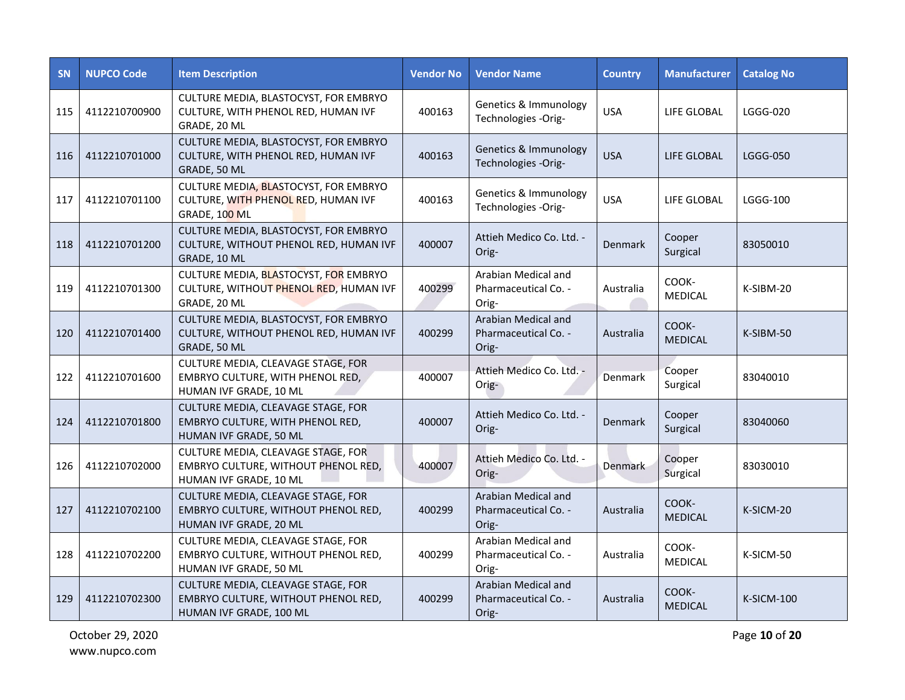| <b>SN</b> | <b>NUPCO Code</b> | <b>Item Description</b>                                                                              | <b>Vendor No</b> | <b>Vendor Name</b>                                   | <b>Country</b> | <b>Manufacturer</b>     | <b>Catalog No</b> |
|-----------|-------------------|------------------------------------------------------------------------------------------------------|------------------|------------------------------------------------------|----------------|-------------------------|-------------------|
| 115       | 4112210700900     | CULTURE MEDIA, BLASTOCYST, FOR EMBRYO<br>CULTURE, WITH PHENOL RED, HUMAN IVF<br>GRADE, 20 ML         | 400163           | Genetics & Immunology<br>Technologies -Orig-         | <b>USA</b>     | LIFE GLOBAL             | <b>LGGG-020</b>   |
| 116       | 4112210701000     | CULTURE MEDIA, BLASTOCYST, FOR EMBRYO<br>CULTURE, WITH PHENOL RED, HUMAN IVF<br>GRADE, 50 ML         | 400163           | Genetics & Immunology<br>Technologies -Orig-         | <b>USA</b>     | LIFE GLOBAL             | <b>LGGG-050</b>   |
| 117       | 4112210701100     | CULTURE MEDIA, BLASTOCYST, FOR EMBRYO<br>CULTURE, WITH PHENOL RED, HUMAN IVF<br>GRADE, 100 ML        | 400163           | Genetics & Immunology<br>Technologies -Orig-         | <b>USA</b>     | LIFE GLOBAL             | <b>LGGG-100</b>   |
| 118       | 4112210701200     | CULTURE MEDIA, BLASTOCYST, FOR EMBRYO<br>CULTURE, WITHOUT PHENOL RED, HUMAN IVF<br>GRADE, 10 ML      | 400007           | Attieh Medico Co. Ltd. -<br>Orig-                    | Denmark        | Cooper<br>Surgical      | 83050010          |
| 119       | 4112210701300     | CULTURE MEDIA, BLASTOCYST, FOR EMBRYO<br>CULTURE, WITHOUT PHENOL RED, HUMAN IVF<br>GRADE, 20 ML      | 400299           | Arabian Medical and<br>Pharmaceutical Co. -<br>Orig- | Australia      | COOK-<br><b>MEDICAL</b> | K-SIBM-20         |
| 120       | 4112210701400     | CULTURE MEDIA, BLASTOCYST, FOR EMBRYO<br>CULTURE, WITHOUT PHENOL RED, HUMAN IVF<br>GRADE, 50 ML      | 400299           | Arabian Medical and<br>Pharmaceutical Co. -<br>Orig- | Australia      | COOK-<br><b>MEDICAL</b> | K-SIBM-50         |
| 122       | 4112210701600     | CULTURE MEDIA, CLEAVAGE STAGE, FOR<br>EMBRYO CULTURE, WITH PHENOL RED,<br>HUMAN IVF GRADE, 10 ML     | 400007           | Attieh Medico Co. Ltd. -<br>Orig-                    | Denmark        | Cooper<br>Surgical      | 83040010          |
| 124       | 4112210701800     | CULTURE MEDIA, CLEAVAGE STAGE, FOR<br>EMBRYO CULTURE, WITH PHENOL RED,<br>HUMAN IVF GRADE, 50 ML     | 400007           | Attieh Medico Co. Ltd. -<br>Orig-                    | Denmark        | Cooper<br>Surgical      | 83040060          |
| 126       | 4112210702000     | CULTURE MEDIA, CLEAVAGE STAGE, FOR<br>EMBRYO CULTURE, WITHOUT PHENOL RED,<br>HUMAN IVF GRADE, 10 ML  | 400007           | Attieh Medico Co. Ltd. -<br>Orig-                    | Denmark        | Cooper<br>Surgical      | 83030010          |
| 127       | 4112210702100     | CULTURE MEDIA, CLEAVAGE STAGE, FOR<br>EMBRYO CULTURE, WITHOUT PHENOL RED,<br>HUMAN IVF GRADE, 20 ML  | 400299           | Arabian Medical and<br>Pharmaceutical Co. -<br>Orig- | Australia      | COOK-<br><b>MEDICAL</b> | K-SICM-20         |
| 128       | 4112210702200     | CULTURE MEDIA, CLEAVAGE STAGE, FOR<br>EMBRYO CULTURE, WITHOUT PHENOL RED,<br>HUMAN IVF GRADE, 50 ML  | 400299           | Arabian Medical and<br>Pharmaceutical Co. -<br>Orig- | Australia      | COOK-<br>MEDICAL        | K-SICM-50         |
| 129       | 4112210702300     | CULTURE MEDIA, CLEAVAGE STAGE, FOR<br>EMBRYO CULTURE, WITHOUT PHENOL RED,<br>HUMAN IVF GRADE, 100 ML | 400299           | Arabian Medical and<br>Pharmaceutical Co. -<br>Orig- | Australia      | COOK-<br><b>MEDICAL</b> | K-SICM-100        |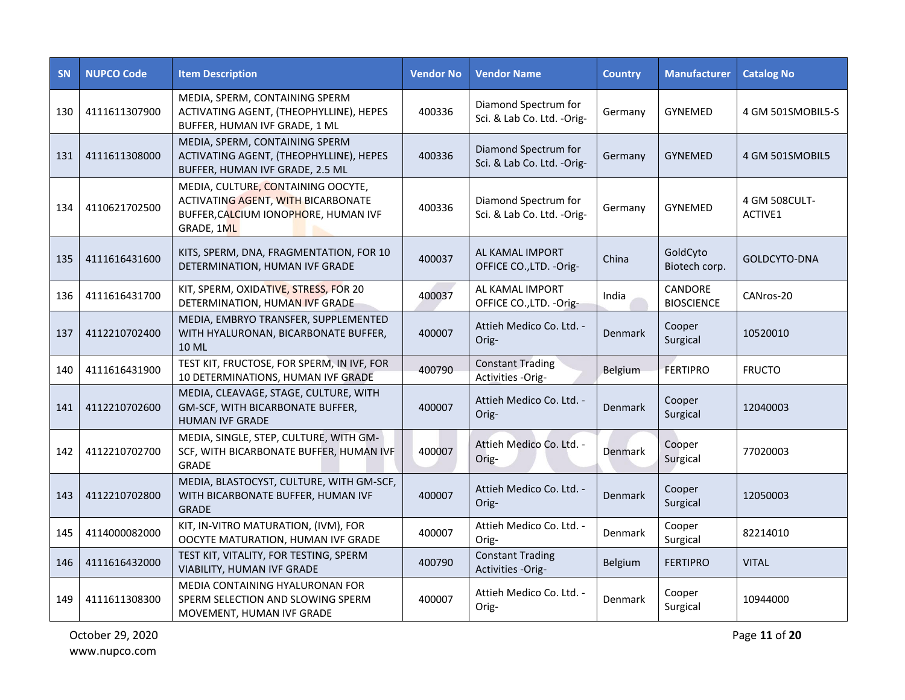| <b>SN</b> | <b>NUPCO Code</b> | <b>Item Description</b>                                                                                                        | <b>Vendor No</b> | <b>Vendor Name</b>                                 | <b>Country</b> | <b>Manufacturer</b>          | <b>Catalog No</b>        |
|-----------|-------------------|--------------------------------------------------------------------------------------------------------------------------------|------------------|----------------------------------------------------|----------------|------------------------------|--------------------------|
| 130       | 4111611307900     | MEDIA, SPERM, CONTAINING SPERM<br>ACTIVATING AGENT, (THEOPHYLLINE), HEPES<br>BUFFER, HUMAN IVF GRADE, 1 ML                     | 400336           | Diamond Spectrum for<br>Sci. & Lab Co. Ltd. -Orig- | Germany        | <b>GYNEMED</b>               | 4 GM 501SMOBIL5-S        |
| 131       | 4111611308000     | MEDIA, SPERM, CONTAINING SPERM<br>ACTIVATING AGENT, (THEOPHYLLINE), HEPES<br>BUFFER, HUMAN IVF GRADE, 2.5 ML                   | 400336           | Diamond Spectrum for<br>Sci. & Lab Co. Ltd. -Orig- | Germany        | <b>GYNEMED</b>               | 4 GM 501SMOBIL5          |
| 134       | 4110621702500     | MEDIA, CULTURE, CONTAINING OOCYTE,<br>ACTIVATING AGENT, WITH BICARBONATE<br>BUFFER, CALCIUM IONOPHORE, HUMAN IVF<br>GRADE, 1ML | 400336           | Diamond Spectrum for<br>Sci. & Lab Co. Ltd. -Orig- | Germany        | <b>GYNEMED</b>               | 4 GM 508CULT-<br>ACTIVE1 |
| 135       | 4111616431600     | KITS, SPERM, DNA, FRAGMENTATION, FOR 10<br>DETERMINATION, HUMAN IVF GRADE                                                      | 400037           | AL KAMAL IMPORT<br>OFFICE CO., LTD. - Orig-        | China          | GoldCyto<br>Biotech corp.    | GOLDCYTO-DNA             |
| 136       | 4111616431700     | KIT, SPERM, OXIDATIVE, STRESS, FOR 20<br>DETERMINATION, HUMAN IVF GRADE                                                        | 400037           | AL KAMAL IMPORT<br>OFFICE CO., LTD. - Orig-        | India          | CANDORE<br><b>BIOSCIENCE</b> | CANros-20                |
| 137       | 4112210702400     | MEDIA, EMBRYO TRANSFER, SUPPLEMENTED<br>WITH HYALURONAN, BICARBONATE BUFFER,<br><b>10 ML</b>                                   | 400007           | Attieh Medico Co. Ltd. -<br>Orig-                  | Denmark        | Cooper<br>Surgical           | 10520010                 |
| 140       | 4111616431900     | TEST KIT, FRUCTOSE, FOR SPERM, IN IVF, FOR<br>10 DETERMINATIONS, HUMAN IVF GRADE                                               | 400790           | <b>Constant Trading</b><br>Activities -Orig-       | Belgium        | <b>FERTIPRO</b>              | <b>FRUCTO</b>            |
| 141       | 4112210702600     | MEDIA, CLEAVAGE, STAGE, CULTURE, WITH<br>GM-SCF, WITH BICARBONATE BUFFER,<br><b>HUMAN IVF GRADE</b>                            | 400007           | Attieh Medico Co. Ltd. -<br>Orig-                  | Denmark        | Cooper<br>Surgical           | 12040003                 |
| 142       | 4112210702700     | MEDIA, SINGLE, STEP, CULTURE, WITH GM-<br>SCF, WITH BICARBONATE BUFFER, HUMAN IVF<br><b>GRADE</b>                              | 400007           | Attieh Medico Co. Ltd. -<br>Orig-                  | Denmark        | Cooper<br>Surgical           | 77020003                 |
| 143       | 4112210702800     | MEDIA, BLASTOCYST, CULTURE, WITH GM-SCF,<br>WITH BICARBONATE BUFFER, HUMAN IVF<br><b>GRADE</b>                                 | 400007           | Attieh Medico Co. Ltd. -<br>Orig-                  | Denmark        | Cooper<br>Surgical           | 12050003                 |
| 145       | 4114000082000     | KIT, IN-VITRO MATURATION, (IVM), FOR<br>OOCYTE MATURATION, HUMAN IVF GRADE                                                     | 400007           | Attieh Medico Co. Ltd. -<br>Orig-                  | Denmark        | Cooper<br>Surgical           | 82214010                 |
| 146       | 4111616432000     | TEST KIT, VITALITY, FOR TESTING, SPERM<br>VIABILITY, HUMAN IVF GRADE                                                           | 400790           | <b>Constant Trading</b><br>Activities -Orig-       | Belgium        | <b>FERTIPRO</b>              | <b>VITAL</b>             |
| 149       | 4111611308300     | MEDIA CONTAINING HYALURONAN FOR<br>SPERM SELECTION AND SLOWING SPERM<br>MOVEMENT, HUMAN IVF GRADE                              | 400007           | Attieh Medico Co. Ltd. -<br>Orig-                  | Denmark        | Cooper<br>Surgical           | 10944000                 |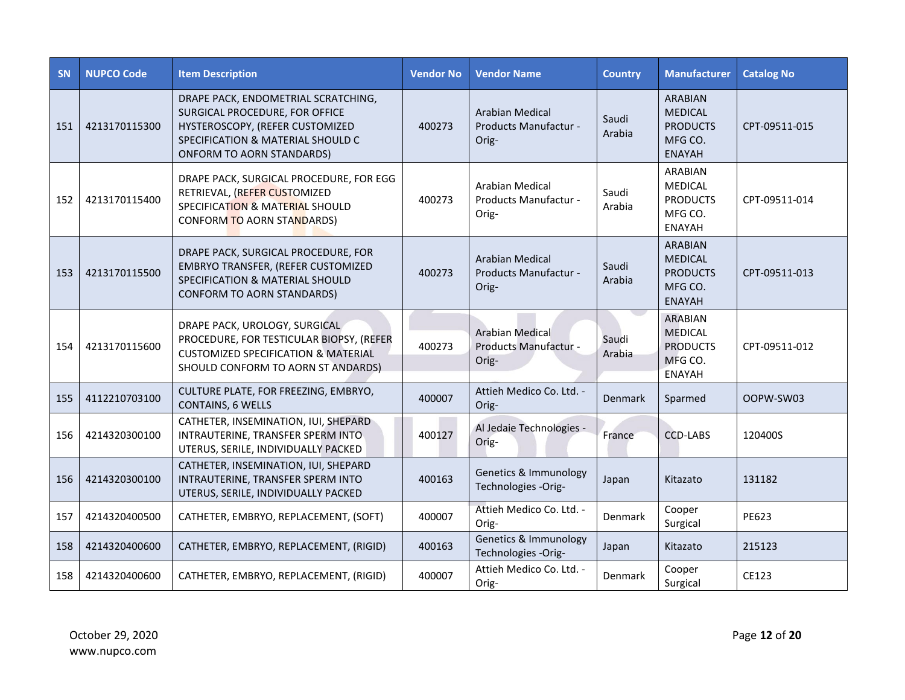| <b>SN</b> | <b>NUPCO Code</b> | <b>Item Description</b>                                                                                                                                                           | <b>Vendor No</b> | <b>Vendor Name</b>                                       | <b>Country</b>  | <b>Manufacturer</b>                                                             | <b>Catalog No</b> |
|-----------|-------------------|-----------------------------------------------------------------------------------------------------------------------------------------------------------------------------------|------------------|----------------------------------------------------------|-----------------|---------------------------------------------------------------------------------|-------------------|
| 151       | 4213170115300     | DRAPE PACK, ENDOMETRIAL SCRATCHING,<br>SURGICAL PROCEDURE, FOR OFFICE<br>HYSTEROSCOPY, (REFER CUSTOMIZED<br>SPECIFICATION & MATERIAL SHOULD C<br><b>ONFORM TO AORN STANDARDS)</b> | 400273           | <b>Arabian Medical</b><br>Products Manufactur -<br>Orig- | Saudi<br>Arabia | <b>ARABIAN</b><br><b>MEDICAL</b><br><b>PRODUCTS</b><br>MFG CO.<br><b>ENAYAH</b> | CPT-09511-015     |
| 152       | 4213170115400     | DRAPE PACK, SURGICAL PROCEDURE, FOR EGG<br>RETRIEVAL, (REFER CUSTOMIZED<br>SPECIFICATION & MATERIAL SHOULD<br><b>CONFORM TO AORN STANDARDS)</b>                                   | 400273           | Arabian Medical<br>Products Manufactur -<br>Orig-        | Saudi<br>Arabia | <b>ARABIAN</b><br><b>MEDICAL</b><br><b>PRODUCTS</b><br>MFG CO.<br><b>ENAYAH</b> | CPT-09511-014     |
| 153       | 4213170115500     | DRAPE PACK, SURGICAL PROCEDURE, FOR<br>EMBRYO TRANSFER, (REFER CUSTOMIZED<br><b>SPECIFICATION &amp; MATERIAL SHOULD</b><br><b>CONFORM TO AORN STANDARDS)</b>                      | 400273           | Arabian Medical<br>Products Manufactur -<br>Orig-        | Saudi<br>Arabia | <b>ARABIAN</b><br><b>MEDICAL</b><br><b>PRODUCTS</b><br>MFG CO.<br><b>ENAYAH</b> | CPT-09511-013     |
| 154       | 4213170115600     | DRAPE PACK, UROLOGY, SURGICAL<br>PROCEDURE, FOR TESTICULAR BIOPSY, (REFER<br><b>CUSTOMIZED SPECIFICATION &amp; MATERIAL</b><br>SHOULD CONFORM TO AORN ST ANDARDS)                 | 400273           | <b>Arabian Medical</b><br>Products Manufactur -<br>Orig- | Saudi<br>Arabia | <b>ARABIAN</b><br><b>MEDICAL</b><br><b>PRODUCTS</b><br>MFG CO.<br><b>ENAYAH</b> | CPT-09511-012     |
| 155       | 4112210703100     | CULTURE PLATE, FOR FREEZING, EMBRYO,<br><b>CONTAINS, 6 WELLS</b>                                                                                                                  | 400007           | Attieh Medico Co. Ltd. -<br>Orig-                        | Denmark         | Sparmed                                                                         | OOPW-SW03         |
| 156       | 4214320300100     | CATHETER, INSEMINATION, IUI, SHEPARD<br>INTRAUTERINE, TRANSFER SPERM INTO<br>UTERUS, SERILE, INDIVIDUALLY PACKED                                                                  | 400127           | Al Jedaie Technologies -<br>Orig-                        | France          | <b>CCD-LABS</b>                                                                 | 120400S           |
| 156       | 4214320300100     | CATHETER, INSEMINATION, IUI, SHEPARD<br>INTRAUTERINE, TRANSFER SPERM INTO<br>UTERUS, SERILE, INDIVIDUALLY PACKED                                                                  | 400163           | Genetics & Immunology<br>Technologies -Orig-             | Japan           | Kitazato                                                                        | 131182            |
| 157       | 4214320400500     | CATHETER, EMBRYO, REPLACEMENT, (SOFT)                                                                                                                                             | 400007           | Attieh Medico Co. Ltd. -<br>Orig-                        | Denmark         | Cooper<br>Surgical                                                              | <b>PE623</b>      |
| 158       | 4214320400600     | CATHETER, EMBRYO, REPLACEMENT, (RIGID)                                                                                                                                            | 400163           | Genetics & Immunology<br>Technologies -Orig-             | Japan           | Kitazato                                                                        | 215123            |
| 158       | 4214320400600     | CATHETER, EMBRYO, REPLACEMENT, (RIGID)                                                                                                                                            | 400007           | Attieh Medico Co. Ltd. -<br>Orig-                        | Denmark         | Cooper<br>Surgical                                                              | CE123             |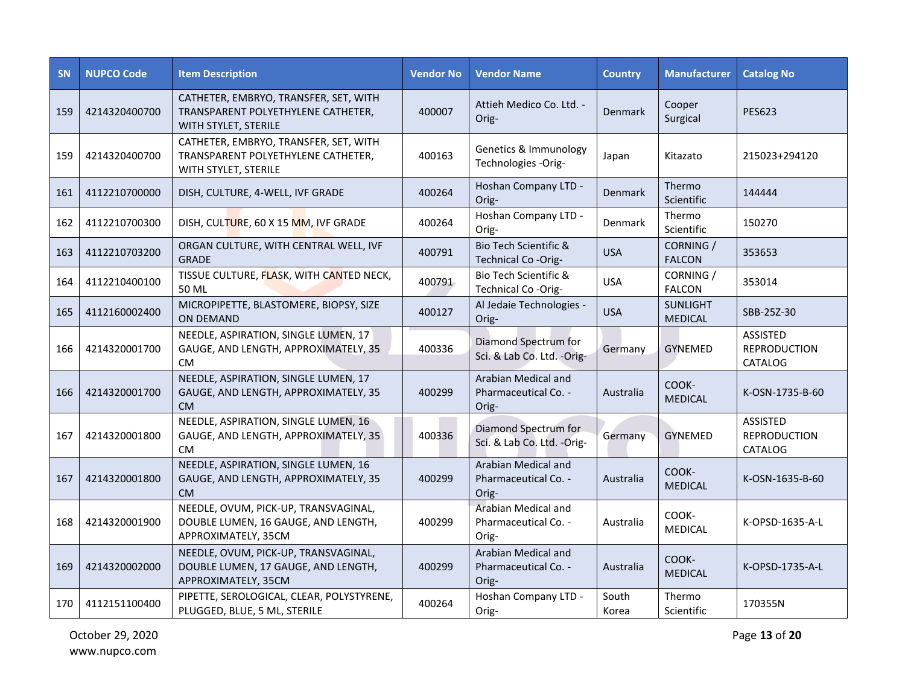| <b>SN</b> | <b>NUPCO Code</b> | <b>Item Description</b>                                                                             | <b>Vendor No</b> | <b>Vendor Name</b>                                   | <b>Country</b> | <b>Manufacturer</b>               | <b>Catalog No</b>                                 |
|-----------|-------------------|-----------------------------------------------------------------------------------------------------|------------------|------------------------------------------------------|----------------|-----------------------------------|---------------------------------------------------|
| 159       | 4214320400700     | CATHETER, EMBRYO, TRANSFER, SET, WITH<br>TRANSPARENT POLYETHYLENE CATHETER,<br>WITH STYLET, STERILE | 400007           | Attieh Medico Co. Ltd. -<br>Orig-                    | Denmark        | Cooper<br>Surgical                | <b>PES623</b>                                     |
| 159       | 4214320400700     | CATHETER, EMBRYO, TRANSFER, SET, WITH<br>TRANSPARENT POLYETHYLENE CATHETER,<br>WITH STYLET, STERILE | 400163           | Genetics & Immunology<br>Technologies -Orig-         | Japan          | Kitazato                          | 215023+294120                                     |
| 161       | 4112210700000     | DISH, CULTURE, 4-WELL, IVF GRADE                                                                    | 400264           | Hoshan Company LTD -<br>Orig-                        | Denmark        | Thermo<br>Scientific              | 144444                                            |
| 162       | 4112210700300     | DISH, CULTURE, 60 X 15 MM, IVF GRADE                                                                | 400264           | Hoshan Company LTD -<br>Orig-                        | Denmark        | Thermo<br>Scientific              | 150270                                            |
| 163       | 4112210703200     | ORGAN CULTURE, WITH CENTRAL WELL, IVF<br><b>GRADE</b>                                               | 400791           | Bio Tech Scientific &<br>Technical Co-Orig-          | <b>USA</b>     | CORNING /<br><b>FALCON</b>        | 353653                                            |
| 164       | 4112210400100     | TISSUE CULTURE, FLASK, WITH CANTED NECK,<br>50 ML                                                   | 400791           | Bio Tech Scientific &<br>Technical Co-Orig-          | <b>USA</b>     | CORNING /<br><b>FALCON</b>        | 353014                                            |
| 165       | 4112160002400     | MICROPIPETTE, BLASTOMERE, BIOPSY, SIZE<br>ON DEMAND                                                 | 400127           | Al Jedaie Technologies -<br>Orig-                    | <b>USA</b>     | <b>SUNLIGHT</b><br><b>MEDICAL</b> | SBB-25Z-30                                        |
| 166       | 4214320001700     | NEEDLE, ASPIRATION, SINGLE LUMEN, 17<br>GAUGE, AND LENGTH, APPROXIMATELY, 35<br><b>CM</b>           | 400336           | Diamond Spectrum for<br>Sci. & Lab Co. Ltd. -Orig-   | Germany        | <b>GYNEMED</b>                    | <b>ASSISTED</b><br><b>REPRODUCTION</b><br>CATALOG |
| 166       | 4214320001700     | NEEDLE, ASPIRATION, SINGLE LUMEN, 17<br>GAUGE, AND LENGTH, APPROXIMATELY, 35<br><b>CM</b>           | 400299           | Arabian Medical and<br>Pharmaceutical Co. -<br>Orig- | Australia      | COOK-<br><b>MEDICAL</b>           | K-OSN-1735-B-60                                   |
| 167       | 4214320001800     | NEEDLE, ASPIRATION, SINGLE LUMEN, 16<br>GAUGE, AND LENGTH, APPROXIMATELY, 35<br>CM.                 | 400336           | Diamond Spectrum for<br>Sci. & Lab Co. Ltd. -Orig-   | Germany        | <b>GYNEMED</b>                    | <b>ASSISTED</b><br><b>REPRODUCTION</b><br>CATALOG |
| 167       | 4214320001800     | NEEDLE, ASPIRATION, SINGLE LUMEN, 16<br>GAUGE, AND LENGTH, APPROXIMATELY, 35<br>CM.                 | 400299           | Arabian Medical and<br>Pharmaceutical Co. -<br>Orig- | Australia      | COOK-<br><b>MEDICAL</b>           | K-OSN-1635-B-60                                   |
| 168       | 4214320001900     | NEEDLE, OVUM, PICK-UP, TRANSVAGINAL,<br>DOUBLE LUMEN, 16 GAUGE, AND LENGTH,<br>APPROXIMATELY, 35CM  | 400299           | Arabian Medical and<br>Pharmaceutical Co. -<br>Orig- | Australia      | COOK-<br>MEDICAL                  | K-OPSD-1635-A-L                                   |
| 169       | 4214320002000     | NEEDLE, OVUM, PICK-UP, TRANSVAGINAL,<br>DOUBLE LUMEN, 17 GAUGE, AND LENGTH,<br>APPROXIMATELY, 35CM  | 400299           | Arabian Medical and<br>Pharmaceutical Co. -<br>Orig- | Australia      | COOK-<br><b>MEDICAL</b>           | K-OPSD-1735-A-L                                   |
| 170       | 4112151100400     | PIPETTE, SEROLOGICAL, CLEAR, POLYSTYRENE,<br>PLUGGED, BLUE, 5 ML, STERILE                           | 400264           | Hoshan Company LTD -<br>Orig-                        | South<br>Korea | Thermo<br>Scientific              | 170355N                                           |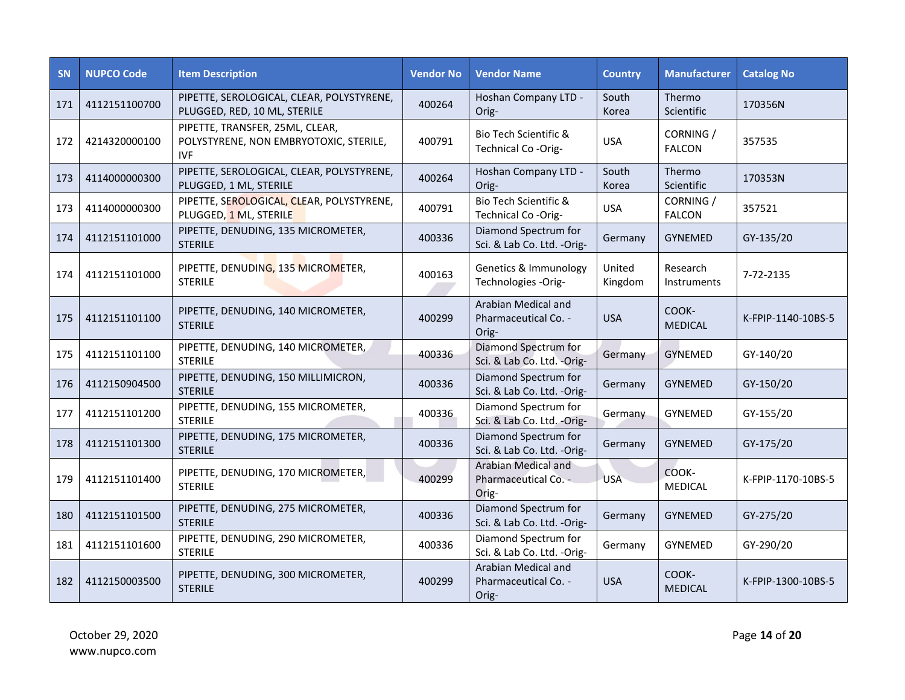| <b>SN</b> | <b>NUPCO Code</b> | <b>Item Description</b>                                                                 | <b>Vendor No</b> | <b>Vendor Name</b>                                   | <b>Country</b>    | <b>Manufacturer</b>        | <b>Catalog No</b>  |
|-----------|-------------------|-----------------------------------------------------------------------------------------|------------------|------------------------------------------------------|-------------------|----------------------------|--------------------|
| 171       | 4112151100700     | PIPETTE, SEROLOGICAL, CLEAR, POLYSTYRENE,<br>PLUGGED, RED, 10 ML, STERILE               | 400264           | Hoshan Company LTD -<br>Orig-                        | South<br>Korea    | Thermo<br>Scientific       | 170356N            |
| 172       | 4214320000100     | PIPETTE, TRANSFER, 25ML, CLEAR,<br>POLYSTYRENE, NON EMBRYOTOXIC, STERILE,<br><b>IVF</b> | 400791           | Bio Tech Scientific &<br>Technical Co-Orig-          | <b>USA</b>        | CORNING /<br><b>FALCON</b> | 357535             |
| 173       | 4114000000300     | PIPETTE, SEROLOGICAL, CLEAR, POLYSTYRENE,<br>PLUGGED, 1 ML, STERILE                     | 400264           | Hoshan Company LTD -<br>Orig-                        | South<br>Korea    | Thermo<br>Scientific       | 170353N            |
| 173       | 4114000000300     | PIPETTE, SEROLOGICAL, CLEAR, POLYSTYRENE,<br>PLUGGED, 1 ML, STERILE                     | 400791           | Bio Tech Scientific &<br>Technical Co-Orig-          | <b>USA</b>        | CORNING /<br><b>FALCON</b> | 357521             |
| 174       | 4112151101000     | PIPETTE, DENUDING, 135 MICROMETER,<br><b>STERILE</b>                                    | 400336           | Diamond Spectrum for<br>Sci. & Lab Co. Ltd. - Orig-  | Germany           | <b>GYNEMED</b>             | GY-135/20          |
| 174       | 4112151101000     | PIPETTE, DENUDING, 135 MICROMETER,<br><b>STERILE</b>                                    | 400163           | Genetics & Immunology<br>Technologies -Orig-         | United<br>Kingdom | Research<br>Instruments    | 7-72-2135          |
| 175       | 4112151101100     | PIPETTE, DENUDING, 140 MICROMETER,<br><b>STERILE</b>                                    | 400299           | Arabian Medical and<br>Pharmaceutical Co. -<br>Orig- | <b>USA</b>        | COOK-<br><b>MEDICAL</b>    | K-FPIP-1140-10BS-5 |
| 175       | 4112151101100     | PIPETTE, DENUDING, 140 MICROMETER,<br><b>STERILE</b>                                    | 400336           | Diamond Spectrum for<br>Sci. & Lab Co. Ltd. -Orig-   | Germany           | GYNEMED                    | GY-140/20          |
| 176       | 4112150904500     | PIPETTE, DENUDING, 150 MILLIMICRON,<br><b>STERILE</b>                                   | 400336           | Diamond Spectrum for<br>Sci. & Lab Co. Ltd. -Orig-   | Germany           | <b>GYNEMED</b>             | GY-150/20          |
| 177       | 4112151101200     | PIPETTE, DENUDING, 155 MICROMETER,<br><b>STERILE</b>                                    | 400336           | Diamond Spectrum for<br>Sci. & Lab Co. Ltd. -Orig-   | Germany           | GYNEMED                    | GY-155/20          |
| 178       | 4112151101300     | PIPETTE, DENUDING, 175 MICROMETER,<br><b>STERILE</b>                                    | 400336           | Diamond Spectrum for<br>Sci. & Lab Co. Ltd. -Orig-   | Germany           | <b>GYNEMED</b>             | GY-175/20          |
| 179       | 4112151101400     | PIPETTE, DENUDING, 170 MICROMETER,<br><b>STERILE</b>                                    | 400299           | Arabian Medical and<br>Pharmaceutical Co. -<br>Orig- | <b>USA</b>        | COOK-<br><b>MEDICAL</b>    | K-FPIP-1170-10BS-5 |
| 180       | 4112151101500     | PIPETTE, DENUDING, 275 MICROMETER,<br><b>STERILE</b>                                    | 400336           | Diamond Spectrum for<br>Sci. & Lab Co. Ltd. - Orig-  | Germany           | <b>GYNEMED</b>             | GY-275/20          |
| 181       | 4112151101600     | PIPETTE, DENUDING, 290 MICROMETER,<br><b>STERILE</b>                                    | 400336           | Diamond Spectrum for<br>Sci. & Lab Co. Ltd. -Orig-   | Germany           | GYNEMED                    | GY-290/20          |
| 182       | 4112150003500     | PIPETTE, DENUDING, 300 MICROMETER,<br><b>STERILE</b>                                    | 400299           | Arabian Medical and<br>Pharmaceutical Co. -<br>Orig- | <b>USA</b>        | COOK-<br><b>MEDICAL</b>    | K-FPIP-1300-10BS-5 |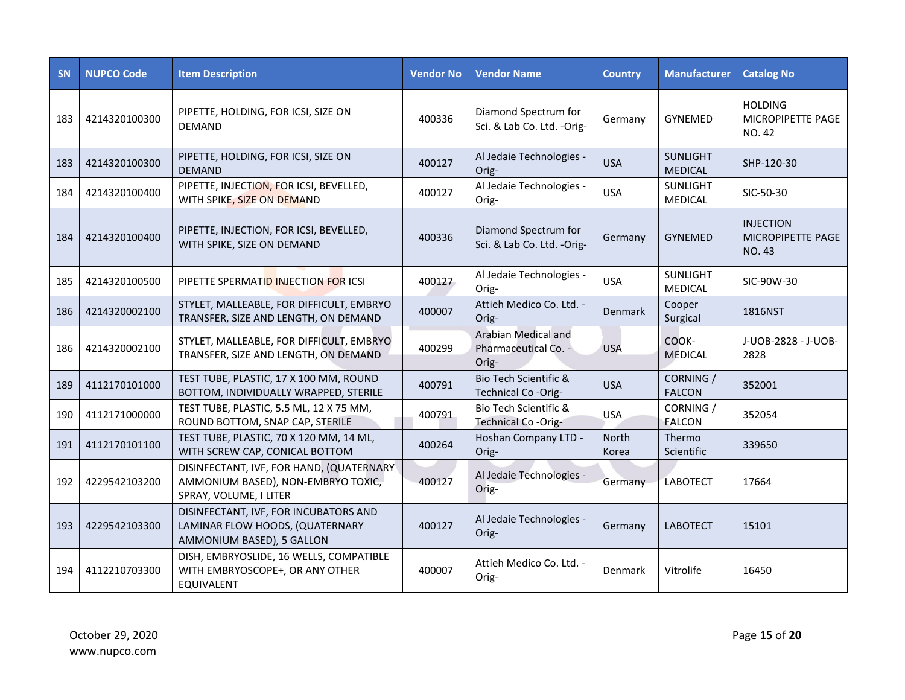| <b>SN</b> | <b>NUPCO Code</b> | <b>Item Description</b>                                                                                   | <b>Vendor No</b> | <b>Vendor Name</b>                                   | <b>Country</b>        | <b>Manufacturer</b>               | <b>Catalog No</b>                                      |
|-----------|-------------------|-----------------------------------------------------------------------------------------------------------|------------------|------------------------------------------------------|-----------------------|-----------------------------------|--------------------------------------------------------|
| 183       | 4214320100300     | PIPETTE, HOLDING, FOR ICSI, SIZE ON<br><b>DEMAND</b>                                                      | 400336           | Diamond Spectrum for<br>Sci. & Lab Co. Ltd. -Orig-   | Germany               | GYNEMED                           | <b>HOLDING</b><br>MICROPIPETTE PAGE<br><b>NO. 42</b>   |
| 183       | 4214320100300     | PIPETTE, HOLDING, FOR ICSI, SIZE ON<br><b>DEMAND</b>                                                      | 400127           | Al Jedaie Technologies -<br>Orig-                    | <b>USA</b>            | <b>SUNLIGHT</b><br><b>MEDICAL</b> | SHP-120-30                                             |
| 184       | 4214320100400     | PIPETTE, INJECTION, FOR ICSI, BEVELLED,<br>WITH SPIKE, SIZE ON DEMAND                                     | 400127           | Al Jedaie Technologies -<br>Orig-                    | <b>USA</b>            | <b>SUNLIGHT</b><br><b>MEDICAL</b> | SIC-50-30                                              |
| 184       | 4214320100400     | PIPETTE, INJECTION, FOR ICSI, BEVELLED,<br>WITH SPIKE, SIZE ON DEMAND                                     | 400336           | Diamond Spectrum for<br>Sci. & Lab Co. Ltd. -Orig-   | Germany               | <b>GYNEMED</b>                    | <b>INJECTION</b><br>MICROPIPETTE PAGE<br><b>NO. 43</b> |
| 185       | 4214320100500     | PIPETTE SPERMATID INJECTION FOR ICSI                                                                      | 400127           | Al Jedaie Technologies -<br>Orig-                    | <b>USA</b>            | <b>SUNLIGHT</b><br><b>MEDICAL</b> | SIC-90W-30                                             |
| 186       | 4214320002100     | STYLET, MALLEABLE, FOR DIFFICULT, EMBRYO<br>TRANSFER, SIZE AND LENGTH, ON DEMAND                          | 400007           | Attieh Medico Co. Ltd. -<br>Orig-                    | <b>Denmark</b>        | Cooper<br>Surgical                | 1816NST                                                |
| 186       | 4214320002100     | STYLET, MALLEABLE, FOR DIFFICULT, EMBRYO<br>TRANSFER, SIZE AND LENGTH, ON DEMAND                          | 400299           | Arabian Medical and<br>Pharmaceutical Co. -<br>Orig- | <b>USA</b>            | COOK-<br><b>MEDICAL</b>           | J-UOB-2828 - J-UOB-<br>2828                            |
| 189       | 4112170101000     | TEST TUBE, PLASTIC, 17 X 100 MM, ROUND<br>BOTTOM, INDIVIDUALLY WRAPPED, STERILE                           | 400791           | Bio Tech Scientific &<br>Technical Co -Orig-         | <b>USA</b>            | CORNING /<br><b>FALCON</b>        | 352001                                                 |
| 190       | 4112171000000     | TEST TUBE, PLASTIC, 5.5 ML, 12 X 75 MM,<br>ROUND BOTTOM, SNAP CAP, STERILE                                | 400791           | Bio Tech Scientific &<br>Technical Co-Orig-          | <b>USA</b>            | CORNING /<br><b>FALCON</b>        | 352054                                                 |
| 191       | 4112170101100     | TEST TUBE, PLASTIC, 70 X 120 MM, 14 ML,<br>WITH SCREW CAP, CONICAL BOTTOM                                 | 400264           | Hoshan Company LTD -<br>Orig-                        | <b>North</b><br>Korea | Thermo<br>Scientific              | 339650                                                 |
| 192       | 4229542103200     | DISINFECTANT, IVF, FOR HAND, (QUATERNARY)<br>AMMONIUM BASED), NON-EMBRYO TOXIC,<br>SPRAY, VOLUME, I LITER | 400127           | Al Jedaie Technologies -<br>Orig-                    | Germany               | <b>LABOTECT</b>                   | 17664                                                  |
| 193       | 4229542103300     | DISINFECTANT, IVF, FOR INCUBATORS AND<br>LAMINAR FLOW HOODS, (QUATERNARY<br>AMMONIUM BASED), 5 GALLON     | 400127           | Al Jedaie Technologies -<br>Orig-                    | Germany               | <b>LABOTECT</b>                   | 15101                                                  |
| 194       | 4112210703300     | DISH, EMBRYOSLIDE, 16 WELLS, COMPATIBLE<br>WITH EMBRYOSCOPE+, OR ANY OTHER<br>EQUIVALENT                  | 400007           | Attieh Medico Co. Ltd. -<br>Orig-                    | Denmark               | Vitrolife                         | 16450                                                  |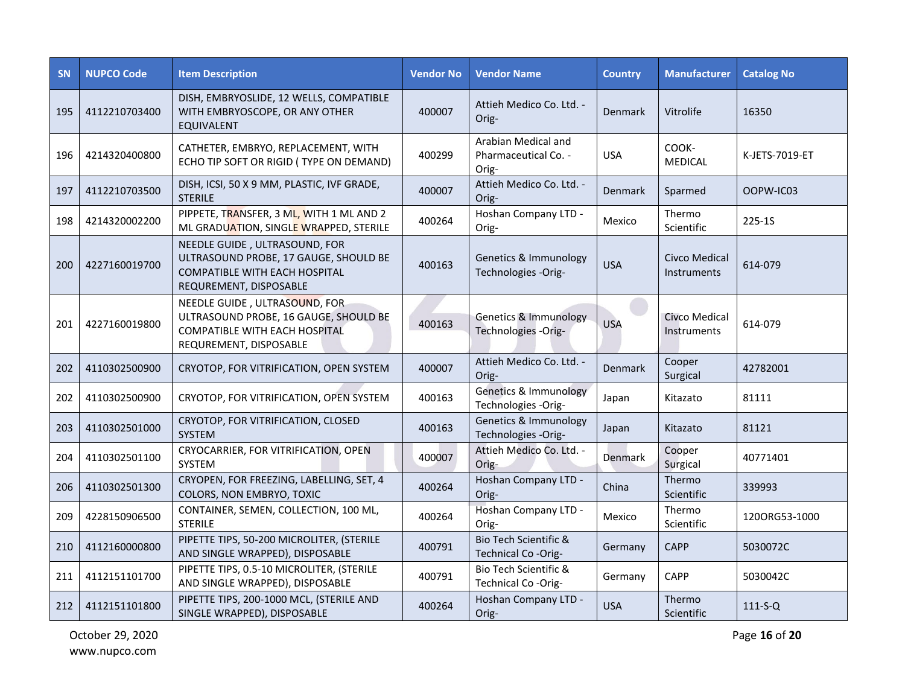| <b>SN</b> | <b>NUPCO Code</b> | <b>Item Description</b>                                                                                                           | <b>Vendor No</b> | <b>Vendor Name</b>                                      | <b>Country</b> | <b>Manufacturer</b>          | <b>Catalog No</b> |
|-----------|-------------------|-----------------------------------------------------------------------------------------------------------------------------------|------------------|---------------------------------------------------------|----------------|------------------------------|-------------------|
| 195       | 4112210703400     | DISH, EMBRYOSLIDE, 12 WELLS, COMPATIBLE<br>WITH EMBRYOSCOPE, OR ANY OTHER<br><b>EQUIVALENT</b>                                    | 400007           | Attieh Medico Co. Ltd. -<br>Orig-                       | Denmark        | Vitrolife                    | 16350             |
| 196       | 4214320400800     | CATHETER, EMBRYO, REPLACEMENT, WITH<br>ECHO TIP SOFT OR RIGID (TYPE ON DEMAND)                                                    | 400299           | Arabian Medical and<br>Pharmaceutical Co. -<br>Orig-    | <b>USA</b>     | COOK-<br><b>MEDICAL</b>      | K-JETS-7019-ET    |
| 197       | 4112210703500     | DISH, ICSI, 50 X 9 MM, PLASTIC, IVF GRADE,<br><b>STERILE</b>                                                                      | 400007           | Attieh Medico Co. Ltd. -<br>Orig-                       | Denmark        | Sparmed                      | OOPW-IC03         |
| 198       | 4214320002200     | PIPPETE, TRANSFER, 3 ML, WITH 1 ML AND 2<br>ML GRADUATION, SINGLE WRAPPED, STERILE                                                | 400264           | Hoshan Company LTD -<br>Orig-                           | Mexico         | Thermo<br>Scientific         | 225-1S            |
| 200       | 4227160019700     | NEEDLE GUIDE, ULTRASOUND, FOR<br>ULTRASOUND PROBE, 17 GAUGE, SHOULD BE<br>COMPATIBLE WITH EACH HOSPITAL<br>REQUREMENT, DISPOSABLE | 400163           | Genetics & Immunology<br>Technologies -Orig-            | <b>USA</b>     | Civco Medical<br>Instruments | 614-079           |
| 201       | 4227160019800     | NEEDLE GUIDE, ULTRASOUND, FOR<br>ULTRASOUND PROBE, 16 GAUGE, SHOULD BE<br>COMPATIBLE WITH EACH HOSPITAL<br>REQUREMENT, DISPOSABLE | 400163           | <b>Genetics &amp; Immunology</b><br>Technologies -Orig- | <b>USA</b>     | Civco Medical<br>Instruments | 614-079           |
| 202       | 4110302500900     | CRYOTOP, FOR VITRIFICATION, OPEN SYSTEM                                                                                           | 400007           | Attieh Medico Co. Ltd. -<br>Orig-                       | Denmark        | Cooper<br>Surgical           | 42782001          |
| 202       | 4110302500900     | CRYOTOP, FOR VITRIFICATION, OPEN SYSTEM                                                                                           | 400163           | <b>Genetics &amp; Immunology</b><br>Technologies -Orig- | Japan          | Kitazato                     | 81111             |
| 203       | 4110302501000     | CRYOTOP, FOR VITRIFICATION, CLOSED<br>SYSTEM                                                                                      | 400163           | Genetics & Immunology<br>Technologies -Orig-            | Japan          | Kitazato                     | 81121             |
| 204       | 4110302501100     | CRYOCARRIER, FOR VITRIFICATION, OPEN<br>SYSTEM                                                                                    | 400007           | Attieh Medico Co. Ltd. -<br>Orig-                       | Denmark        | Cooper<br>Surgical           | 40771401          |
| 206       | 4110302501300     | CRYOPEN, FOR FREEZING, LABELLING, SET, 4<br>COLORS, NON EMBRYO, TOXIC                                                             | 400264           | Hoshan Company LTD -<br>Orig-                           | China          | Thermo<br>Scientific         | 339993            |
| 209       | 4228150906500     | CONTAINER, SEMEN, COLLECTION, 100 ML,<br><b>STERILE</b>                                                                           | 400264           | Hoshan Company LTD -<br>Orig-                           | Mexico         | Thermo<br>Scientific         | 1200RG53-1000     |
| 210       | 4112160000800     | PIPETTE TIPS, 50-200 MICROLITER, (STERILE<br>AND SINGLE WRAPPED), DISPOSABLE                                                      | 400791           | Bio Tech Scientific &<br>Technical Co-Orig-             | Germany        | <b>CAPP</b>                  | 5030072C          |
| 211       | 4112151101700     | PIPETTE TIPS, 0.5-10 MICROLITER, (STERILE<br>AND SINGLE WRAPPED), DISPOSABLE                                                      | 400791           | Bio Tech Scientific &<br>Technical Co-Orig-             | Germany        | CAPP                         | 5030042C          |
| 212       | 4112151101800     | PIPETTE TIPS, 200-1000 MCL, (STERILE AND<br>SINGLE WRAPPED), DISPOSABLE                                                           | 400264           | Hoshan Company LTD -<br>Orig-                           | <b>USA</b>     | Thermo<br>Scientific         | $111-S-Q$         |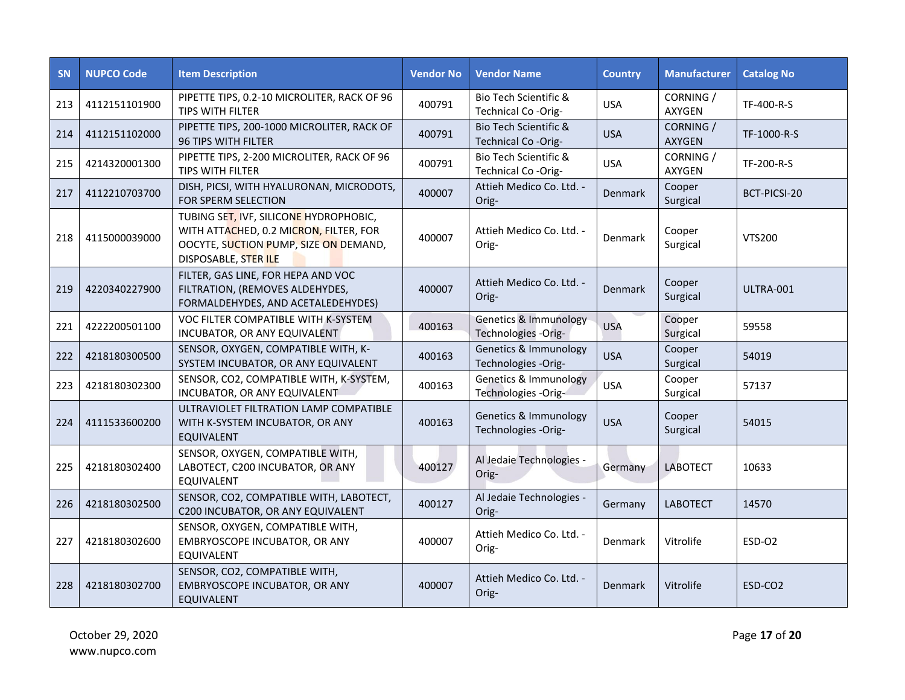| <b>SN</b> | <b>NUPCO Code</b> | <b>Item Description</b>                                                                                                                           | <b>Vendor No</b> | <b>Vendor Name</b>                                      | <b>Country</b> | <b>Manufacturer</b>        | <b>Catalog No</b>   |
|-----------|-------------------|---------------------------------------------------------------------------------------------------------------------------------------------------|------------------|---------------------------------------------------------|----------------|----------------------------|---------------------|
| 213       | 4112151101900     | PIPETTE TIPS, 0.2-10 MICROLITER, RACK OF 96<br>TIPS WITH FILTER                                                                                   | 400791           | Bio Tech Scientific &<br>Technical Co-Orig-             | <b>USA</b>     | CORNING /<br><b>AXYGEN</b> | TF-400-R-S          |
| 214       | 4112151102000     | PIPETTE TIPS, 200-1000 MICROLITER, RACK OF<br>96 TIPS WITH FILTER                                                                                 | 400791           | Bio Tech Scientific &<br>Technical Co-Orig-             | <b>USA</b>     | CORNING /<br>AXYGEN        | TF-1000-R-S         |
| 215       | 4214320001300     | PIPETTE TIPS, 2-200 MICROLITER, RACK OF 96<br>TIPS WITH FILTER                                                                                    | 400791           | Bio Tech Scientific &<br>Technical Co-Orig-             | <b>USA</b>     | CORNING /<br>AXYGEN        | TF-200-R-S          |
| 217       | 4112210703700     | DISH, PICSI, WITH HYALURONAN, MICRODOTS,<br>FOR SPERM SELECTION                                                                                   | 400007           | Attieh Medico Co. Ltd. -<br>Orig-                       | Denmark        | Cooper<br>Surgical         | BCT-PICSI-20        |
| 218       | 4115000039000     | TUBING SET, IVF, SILICONE HYDROPHOBIC,<br>WITH ATTACHED, 0.2 MICRON, FILTER, FOR<br>OOCYTE, SUCTION PUMP, SIZE ON DEMAND,<br>DISPOSABLE, STER ILE | 400007           | Attieh Medico Co. Ltd. -<br>Orig-                       | Denmark        | Cooper<br>Surgical         | <b>VTS200</b>       |
| 219       | 4220340227900     | FILTER, GAS LINE, FOR HEPA AND VOC<br>FILTRATION, (REMOVES ALDEHYDES,<br>FORMALDEHYDES, AND ACETALEDEHYDES)                                       | 400007           | Attieh Medico Co. Ltd. -<br>Orig-                       | Denmark        | Cooper<br>Surgical         | ULTRA-001           |
| 221       | 4222200501100     | VOC FILTER COMPATIBLE WITH K-SYSTEM<br>INCUBATOR, OR ANY EQUIVALENT                                                                               | 400163           | <b>Genetics &amp; Immunology</b><br>Technologies -Orig- | <b>USA</b>     | Cooper<br>Surgical         | 59558               |
| 222       | 4218180300500     | SENSOR, OXYGEN, COMPATIBLE WITH, K-<br>SYSTEM INCUBATOR, OR ANY EQUIVALENT                                                                        | 400163           | Genetics & Immunology<br>Technologies -Orig-            | <b>USA</b>     | Cooper<br>Surgical         | 54019               |
| 223       | 4218180302300     | SENSOR, CO2, COMPATIBLE WITH, K-SYSTEM,<br>INCUBATOR, OR ANY EQUIVALENT                                                                           | 400163           | Genetics & Immunology<br>Technologies -Orig-            | <b>USA</b>     | Cooper<br>Surgical         | 57137               |
| 224       | 4111533600200     | ULTRAVIOLET FILTRATION LAMP COMPATIBLE<br>WITH K-SYSTEM INCUBATOR, OR ANY<br><b>EQUIVALENT</b>                                                    | 400163           | Genetics & Immunology<br>Technologies -Orig-            | <b>USA</b>     | Cooper<br>Surgical         | 54015               |
| 225       | 4218180302400     | SENSOR, OXYGEN, COMPATIBLE WITH,<br>LABOTECT, C200 INCUBATOR, OR ANY<br>EQUIVALENT                                                                | 400127           | Al Jedaie Technologies -<br>Orig-                       | Germany        | <b>LABOTECT</b>            | 10633               |
| 226       | 4218180302500     | SENSOR, CO2, COMPATIBLE WITH, LABOTECT,<br>C200 INCUBATOR, OR ANY EQUIVALENT                                                                      | 400127           | Al Jedaie Technologies -<br>Orig-                       | Germany        | <b>LABOTECT</b>            | 14570               |
| 227       | 4218180302600     | SENSOR, OXYGEN, COMPATIBLE WITH,<br>EMBRYOSCOPE INCUBATOR, OR ANY<br>EQUIVALENT                                                                   | 400007           | Attieh Medico Co. Ltd. -<br>Orig-                       | Denmark        | Vitrolife                  | ESD-O2              |
| 228       | 4218180302700     | SENSOR, CO2, COMPATIBLE WITH,<br>EMBRYOSCOPE INCUBATOR, OR ANY<br><b>EQUIVALENT</b>                                                               | 400007           | Attieh Medico Co. Ltd. -<br>Orig-                       | Denmark        | Vitrolife                  | ESD-CO <sub>2</sub> |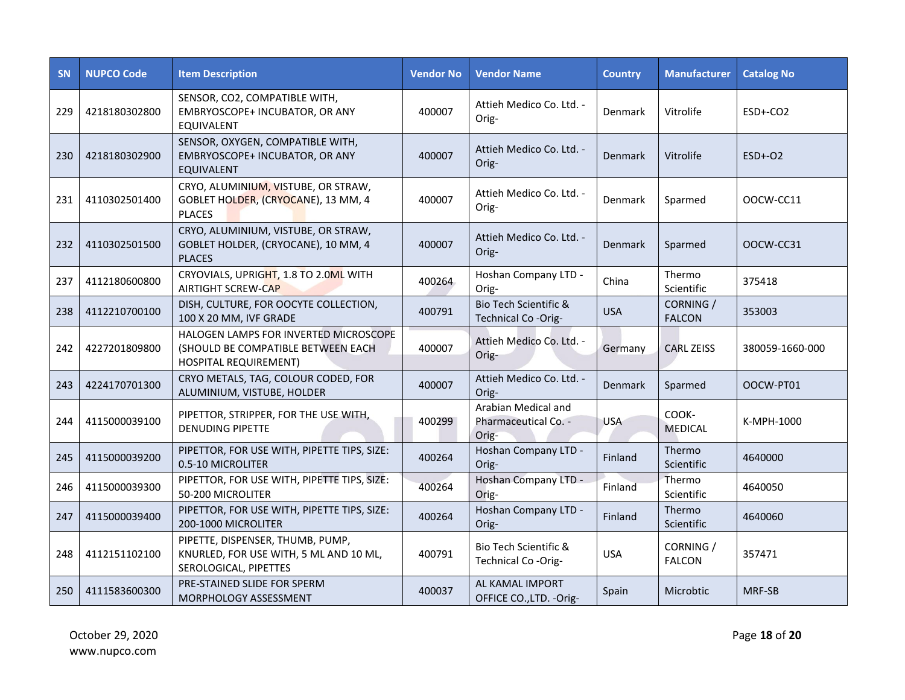| <b>SN</b> | <b>NUPCO Code</b> | <b>Item Description</b>                                                                              | <b>Vendor No</b> | <b>Vendor Name</b>                                   | <b>Country</b> | <b>Manufacturer</b>        | <b>Catalog No</b> |
|-----------|-------------------|------------------------------------------------------------------------------------------------------|------------------|------------------------------------------------------|----------------|----------------------------|-------------------|
| 229       | 4218180302800     | SENSOR, CO2, COMPATIBLE WITH,<br>EMBRYOSCOPE+ INCUBATOR, OR ANY<br>EQUIVALENT                        | 400007           | Attieh Medico Co. Ltd. -<br>Orig-                    | Denmark        | Vitrolife                  | $ESD + CO2$       |
| 230       | 4218180302900     | SENSOR, OXYGEN, COMPATIBLE WITH,<br>EMBRYOSCOPE+ INCUBATOR, OR ANY<br><b>EQUIVALENT</b>              | 400007           | Attieh Medico Co. Ltd. -<br>Orig-                    | Denmark        | Vitrolife                  | $ESD+-O2$         |
| 231       | 4110302501400     | CRYO, ALUMINIUM, VISTUBE, OR STRAW,<br>GOBLET HOLDER, (CRYOCANE), 13 MM, 4<br><b>PLACES</b>          | 400007           | Attieh Medico Co. Ltd. -<br>Orig-                    | Denmark        | Sparmed                    | OOCW-CC11         |
| 232       | 4110302501500     | CRYO, ALUMINIUM, VISTUBE, OR STRAW,<br>GOBLET HOLDER, (CRYOCANE), 10 MM, 4<br><b>PLACES</b>          | 400007           | Attieh Medico Co. Ltd. -<br>Orig-                    | Denmark        | Sparmed                    | OOCW-CC31         |
| 237       | 4112180600800     | CRYOVIALS, UPRIGHT, 1.8 TO 2.0ML WITH<br>AIRTIGHT SCREW-CAP                                          | 400264           | Hoshan Company LTD -<br>Orig-                        | China          | Thermo<br>Scientific       | 375418            |
| 238       | 4112210700100     | DISH, CULTURE, FOR OOCYTE COLLECTION,<br>100 X 20 MM, IVF GRADE                                      | 400791           | Bio Tech Scientific &<br>Technical Co-Orig-          | <b>USA</b>     | CORNING /<br><b>FALCON</b> | 353003            |
| 242       | 4227201809800     | HALOGEN LAMPS FOR INVERTED MICROSCOPE<br>(SHOULD BE COMPATIBLE BETWEEN EACH<br>HOSPITAL REQUIREMENT) | 400007           | Attieh Medico Co. Ltd. -<br>Orig-                    | Germany        | <b>CARL ZEISS</b>          | 380059-1660-000   |
| 243       | 4224170701300     | CRYO METALS, TAG, COLOUR CODED, FOR<br>ALUMINIUM, VISTUBE, HOLDER                                    | 400007           | Attieh Medico Co. Ltd. -<br>Orig-                    | Denmark        | Sparmed                    | OOCW-PT01         |
| 244       | 4115000039100     | PIPETTOR, STRIPPER, FOR THE USE WITH,<br><b>DENUDING PIPETTE</b>                                     | 400299           | Arabian Medical and<br>Pharmaceutical Co. -<br>Orig- | <b>USA</b>     | COOK-<br><b>MEDICAL</b>    | K-MPH-1000        |
| 245       | 4115000039200     | PIPETTOR, FOR USE WITH, PIPETTE TIPS, SIZE:<br>0.5-10 MICROLITER                                     | 400264           | Hoshan Company LTD -<br>Orig-                        | Finland        | Thermo<br>Scientific       | 4640000           |
| 246       | 4115000039300     | PIPETTOR, FOR USE WITH, PIPETTE TIPS, SIZE:<br>50-200 MICROLITER                                     | 400264           | Hoshan Company LTD -<br>Orig-                        | Finland        | Thermo<br>Scientific       | 4640050           |
| 247       | 4115000039400     | PIPETTOR, FOR USE WITH, PIPETTE TIPS, SIZE:<br>200-1000 MICROLITER                                   | 400264           | Hoshan Company LTD -<br>Orig-                        | Finland        | Thermo<br>Scientific       | 4640060           |
| 248       | 4112151102100     | PIPETTE, DISPENSER, THUMB, PUMP,<br>KNURLED, FOR USE WITH, 5 ML AND 10 ML,<br>SEROLOGICAL, PIPETTES  | 400791           | Bio Tech Scientific &<br>Technical Co-Orig-          | <b>USA</b>     | CORNING /<br><b>FALCON</b> | 357471            |
| 250       | 4111583600300     | PRE-STAINED SLIDE FOR SPERM<br>MORPHOLOGY ASSESSMENT                                                 | 400037           | AL KAMAL IMPORT<br>OFFICE CO., LTD. - Orig-          | Spain          | Microbtic                  | MRF-SB            |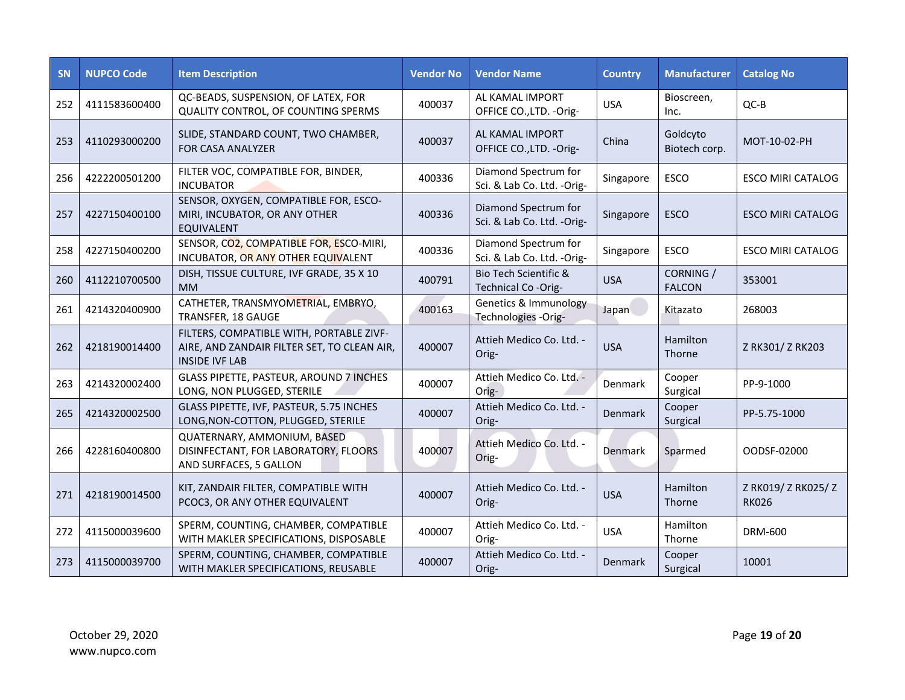| <b>SN</b> | <b>NUPCO Code</b> | <b>Item Description</b>                                                                                          | <b>Vendor No</b> | <b>Vendor Name</b>                                  | <b>Country</b> | <b>Manufacturer</b>        | <b>Catalog No</b>                   |
|-----------|-------------------|------------------------------------------------------------------------------------------------------------------|------------------|-----------------------------------------------------|----------------|----------------------------|-------------------------------------|
| 252       | 4111583600400     | QC-BEADS, SUSPENSION, OF LATEX, FOR<br>QUALITY CONTROL, OF COUNTING SPERMS                                       | 400037           | AL KAMAL IMPORT<br>OFFICE CO., LTD. - Orig-         | <b>USA</b>     | Bioscreen,<br>Inc.         | $QC-B$                              |
| 253       | 4110293000200     | SLIDE, STANDARD COUNT, TWO CHAMBER,<br>FOR CASA ANALYZER                                                         | 400037           | AL KAMAL IMPORT<br>OFFICE CO., LTD. - Orig-         | China          | Goldcyto<br>Biotech corp.  | MOT-10-02-PH                        |
| 256       | 4222200501200     | FILTER VOC, COMPATIBLE FOR, BINDER,<br><b>INCUBATOR</b>                                                          | 400336           | Diamond Spectrum for<br>Sci. & Lab Co. Ltd. -Orig-  | Singapore      | <b>ESCO</b>                | <b>ESCO MIRI CATALOG</b>            |
| 257       | 4227150400100     | SENSOR, OXYGEN, COMPATIBLE FOR, ESCO-<br>MIRI, INCUBATOR, OR ANY OTHER<br><b>EQUIVALENT</b>                      | 400336           | Diamond Spectrum for<br>Sci. & Lab Co. Ltd. -Orig-  | Singapore      | <b>ESCO</b>                | <b>ESCO MIRI CATALOG</b>            |
| 258       | 4227150400200     | SENSOR, CO2, COMPATIBLE FOR, ESCO-MIRI,<br>INCUBATOR, OR ANY OTHER EQUIVALENT                                    | 400336           | Diamond Spectrum for<br>Sci. & Lab Co. Ltd. - Orig- | Singapore      | <b>ESCO</b>                | <b>ESCO MIRI CATALOG</b>            |
| 260       | 4112210700500     | DISH, TISSUE CULTURE, IVF GRADE, 35 X 10<br><b>MM</b>                                                            | 400791           | Bio Tech Scientific &<br>Technical Co -Orig-        | <b>USA</b>     | CORNING /<br><b>FALCON</b> | 353001                              |
| 261       | 4214320400900     | CATHETER, TRANSMYOMETRIAL, EMBRYO,<br>TRANSFER, 18 GAUGE                                                         | 400163           | Genetics & Immunology<br>Technologies -Orig-        | Japan          | Kitazato                   | 268003                              |
| 262       | 4218190014400     | FILTERS, COMPATIBLE WITH, PORTABLE ZIVF-<br>AIRE, AND ZANDAIR FILTER SET, TO CLEAN AIR,<br><b>INSIDE IVF LAB</b> | 400007           | Attieh Medico Co. Ltd. -<br>Orig-                   | <b>USA</b>     | Hamilton<br><b>Thorne</b>  | Z RK301/ Z RK203                    |
| 263       | 4214320002400     | GLASS PIPETTE, PASTEUR, AROUND 7 INCHES<br>LONG, NON PLUGGED, STERILE                                            | 400007           | Attieh Medico Co. Ltd. -<br>Orig-                   | Denmark        | Cooper<br>Surgical         | PP-9-1000                           |
| 265       | 4214320002500     | GLASS PIPETTE, IVF, PASTEUR, 5.75 INCHES<br>LONG, NON-COTTON, PLUGGED, STERILE                                   | 400007           | Attieh Medico Co. Ltd. -<br>Orig-                   | Denmark        | Cooper<br>Surgical         | PP-5.75-1000                        |
| 266       | 4228160400800     | QUATERNARY, AMMONIUM, BASED<br>DISINFECTANT, FOR LABORATORY, FLOORS<br>AND SURFACES, 5 GALLON                    | 400007           | Attieh Medico Co. Ltd. -<br>Orig-                   | Denmark        | Sparmed                    | OODSF-02000                         |
| 271       | 4218190014500     | KIT, ZANDAIR FILTER, COMPATIBLE WITH<br>PCOC3, OR ANY OTHER EQUIVALENT                                           | 400007           | Attieh Medico Co. Ltd. -<br>Orig-                   | <b>USA</b>     | Hamilton<br>Thorne         | Z RK019/ Z RK025/ Z<br><b>RK026</b> |
| 272       | 4115000039600     | SPERM, COUNTING, CHAMBER, COMPATIBLE<br>WITH MAKLER SPECIFICATIONS, DISPOSABLE                                   | 400007           | Attieh Medico Co. Ltd. -<br>Orig-                   | <b>USA</b>     | Hamilton<br>Thorne         | DRM-600                             |
| 273       | 4115000039700     | SPERM, COUNTING, CHAMBER, COMPATIBLE<br>WITH MAKLER SPECIFICATIONS, REUSABLE                                     | 400007           | Attieh Medico Co. Ltd. -<br>Orig-                   | Denmark        | Cooper<br>Surgical         | 10001                               |